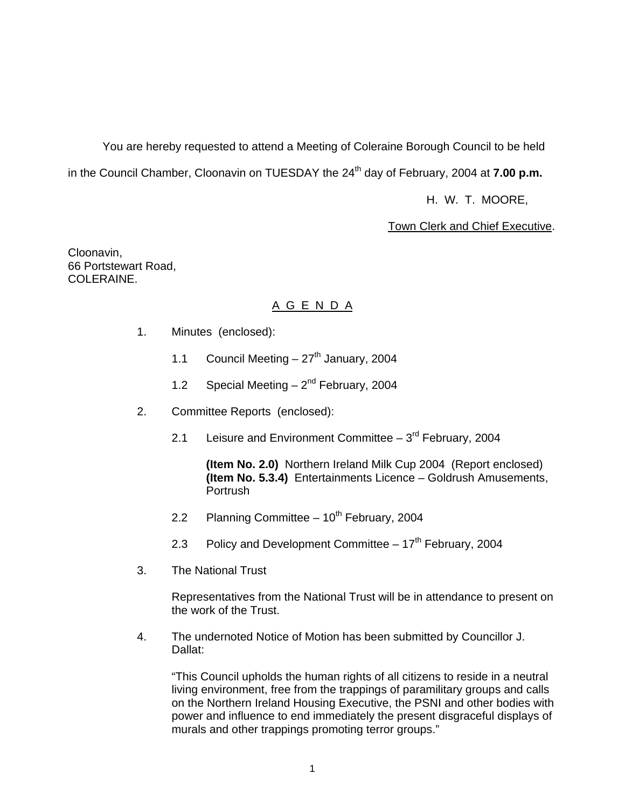You are hereby requested to attend a Meeting of Coleraine Borough Council to be held in the Council Chamber, Cloonavin on TUESDAY the 24<sup>th</sup> day of February, 2004 at **7.00 p.m.** 

H. W. T. MOORE,

Town Clerk and Chief Executive.

Cloonavin, 66 Portstewart Road, COLERAINE.

# A G E N D A

- 1. Minutes (enclosed):
	- 1.1 Council Meeting  $-27<sup>th</sup>$  January, 2004
	- 1.2 Special Meeting  $-2^{nd}$  February, 2004
- 2. Committee Reports (enclosed):
	- 2.1 Leisure and Environment Committee  $-3<sup>rd</sup>$  February, 2004

 **(Item No. 2.0)** Northern Ireland Milk Cup 2004 (Report enclosed) **(Item No. 5.3.4)** Entertainments Licence – Goldrush Amusements, Portrush

- 2.2 Planning Committee  $-10^{th}$  February, 2004
- 2.3 Policy and Development Committee  $-17<sup>th</sup>$  February, 2004
- 3. The National Trust

 Representatives from the National Trust will be in attendance to present on the work of the Trust.

 4. The undernoted Notice of Motion has been submitted by Councillor J. Dallat:

 "This Council upholds the human rights of all citizens to reside in a neutral living environment, free from the trappings of paramilitary groups and calls on the Northern Ireland Housing Executive, the PSNI and other bodies with power and influence to end immediately the present disgraceful displays of murals and other trappings promoting terror groups."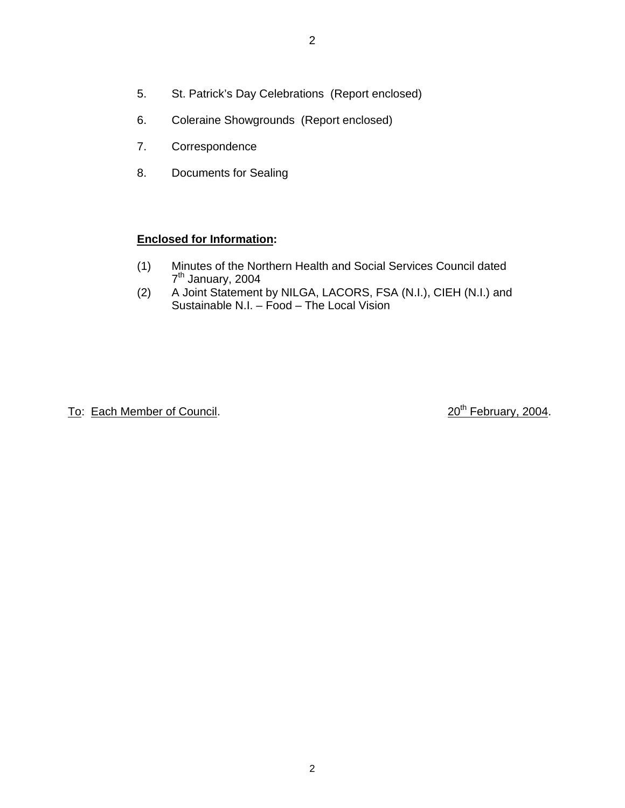- 5. St. Patrick's Day Celebrations (Report enclosed)
- 6. Coleraine Showgrounds (Report enclosed)
- 7. Correspondence
- 8. Documents for Sealing

## **Enclosed for Information:**

- (1) Minutes of the Northern Health and Social Services Council dated 7<sup>th</sup> January, 2004
- (2) A Joint Statement by NILGA, LACORS, FSA (N.I.), CIEH (N.I.) and Sustainable N.I. - Food - The Local Vision

To: Each Member of Council. 20th February, 2004.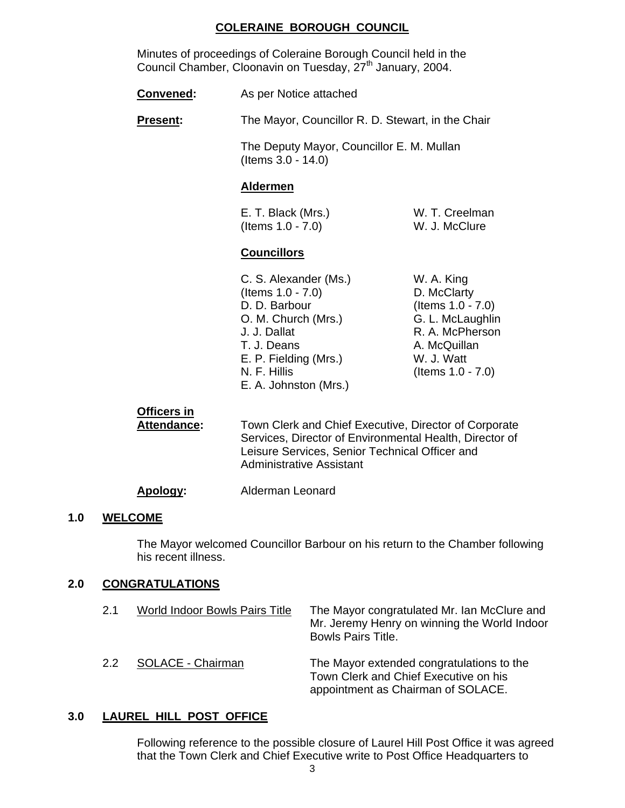#### **COLERAINE BOROUGH COUNCIL**

 Minutes of proceedings of Coleraine Borough Council held in the Council Chamber, Cloonavin on Tuesday, 27<sup>th</sup> January, 2004.

**Convened:** As per Notice attached

**Present:** The Mayor, Councillor R. D. Stewart, in the Chair

 The Deputy Mayor, Councillor E. M. Mullan (Items 3.0 - 14.0)

#### **Aldermen**

E. T. Black (Mrs.) W. T. Creelman (Items 1.0 - 7.0) W. J. McClure

#### **Councillors**

- C. S. Alexander (Ms.) W. A. King (Items 1.0 - 7.0) D. McClarty D. D. Barbour (Items 1.0 - 7.0) O. M. Church (Mrs.) G. L. McLaughlin J. J. Dallat R. A. McPherson T. J. Deans A. McQuillan E. P. Fielding (Mrs.) W. J. Watt N. F. Hillis (Items 1.0 - 7.0) E. A. Johnston (Mrs.)
- 

#### **Officers in**

Attendance: Town Clerk and Chief Executive, Director of Corporate Services, Director of Environmental Health, Director of Leisure Services, Senior Technical Officer and Administrative Assistant

#### **Apology:** Alderman Leonard

#### **1.0 WELCOME**

The Mayor welcomed Councillor Barbour on his return to the Chamber following his recent illness.

#### **2.0 CONGRATULATIONS**

| 2.1 | World Indoor Bowls Pairs Title | The Mayor congratulated Mr. Ian McClure and<br>Mr. Jeremy Henry on winning the World Indoor<br><b>Bowls Pairs Title.</b> |
|-----|--------------------------------|--------------------------------------------------------------------------------------------------------------------------|
| 2.2 | SOLACE - Chairman              | The Mayor extended congratulations to the<br>Town Clerk and Chief Executive on his<br>appointment as Chairman of SOLACE. |

#### **3.0 LAUREL HILL POST OFFICE**

 Following reference to the possible closure of Laurel Hill Post Office it was agreed that the Town Clerk and Chief Executive write to Post Office Headquarters to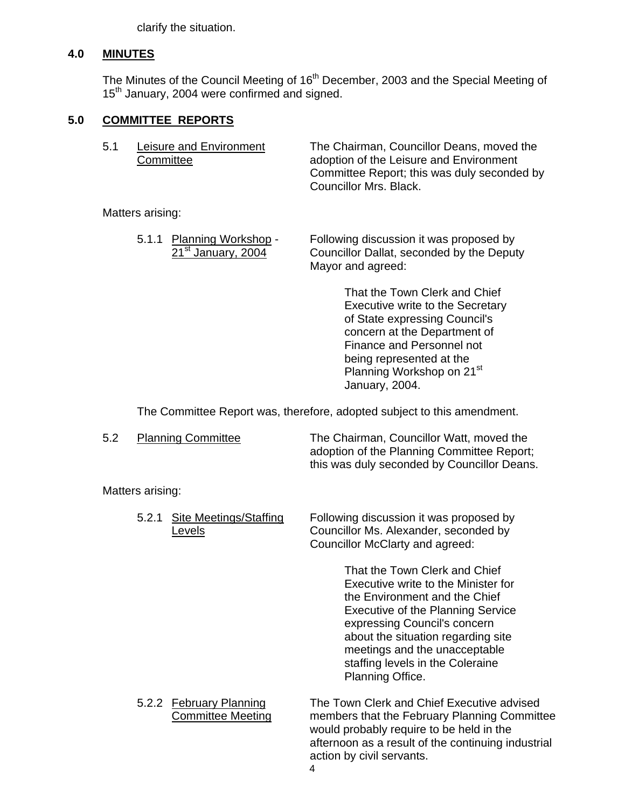clarify the situation.

#### **4.0 MINUTES**

The Minutes of the Council Meeting of 16<sup>th</sup> December, 2003 and the Special Meeting of 15<sup>th</sup> January, 2004 were confirmed and signed.

## **5.0 COMMITTEE REPORTS**

| 5.1 | Leisure and Environment<br>Committee | The Chairman, Councillor Deans, moved the<br>adoption of the Leisure and Environment<br>Committee Report; this was duly seconded by<br>Councillor Mrs. Black. |
|-----|--------------------------------------|---------------------------------------------------------------------------------------------------------------------------------------------------------------|
|     | Matters arising:                     |                                                                                                                                                               |

 5.1.1 Planning Workshop - Following discussion it was proposed by 21<sup>st</sup> January, 2004 Councillor Dallat, seconded by the Deputy Mayor and agreed:

> That the Town Clerk and Chief Executive write to the Secretary of State expressing Council's concern at the Department of Finance and Personnel not being represented at the Planning Workshop on 21<sup>st</sup> January, 2004.

The Committee Report was, therefore, adopted subject to this amendment.

| <b>Planning Committee</b> | The Chairman, Councillor Watt, moved the    |
|---------------------------|---------------------------------------------|
|                           | adoption of the Planning Committee Report;  |
|                           | this was duly seconded by Councillor Deans. |

Matters arising:

| Site Meetings/Staffing<br>5.2.1<br>Levels           | Following discussion it was proposed by<br>Councillor Ms. Alexander, seconded by<br>Councillor McClarty and agreed:                                                                                                                                                                                              |
|-----------------------------------------------------|------------------------------------------------------------------------------------------------------------------------------------------------------------------------------------------------------------------------------------------------------------------------------------------------------------------|
|                                                     | That the Town Clerk and Chief<br>Executive write to the Minister for<br>the Environment and the Chief<br><b>Executive of the Planning Service</b><br>expressing Council's concern<br>about the situation regarding site<br>meetings and the unacceptable<br>staffing levels in the Coleraine<br>Planning Office. |
| 5.2.2 February Planning<br><b>Committee Meeting</b> | The Town Clerk and Chief Executive advised<br>members that the February Planning Committee<br>would probably require to be held in the<br>afternoon as a result of the continuing industrial<br>action by civil servants.                                                                                        |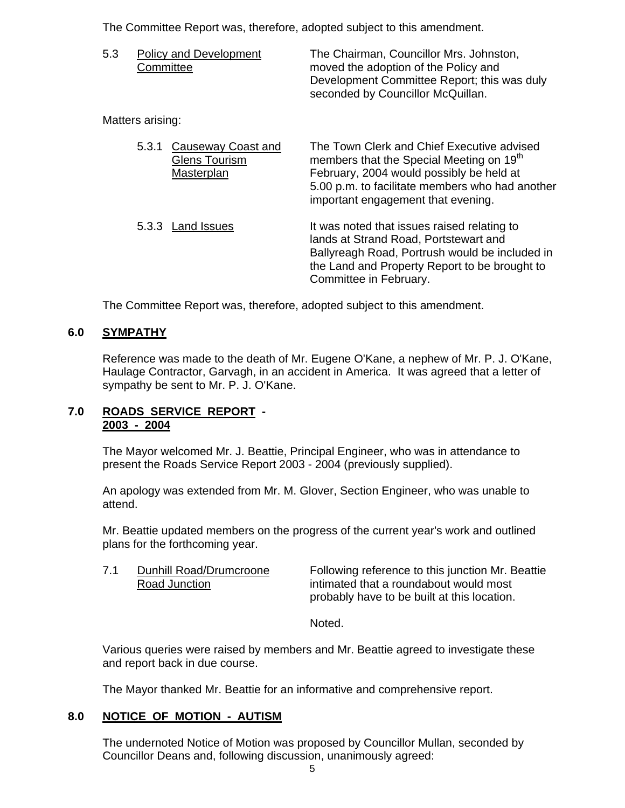The Committee Report was, therefore, adopted subject to this amendment.

| 5.3 | Policy and Development<br>Committee | The Chairman, Councillor Mrs. Johnston,<br>moved the adoption of the Policy and |
|-----|-------------------------------------|---------------------------------------------------------------------------------|
|     |                                     | Development Committee Report; this was duly                                     |
|     |                                     | seconded by Councillor McQuillan.                                               |

Matters arising:

| 5.3.1<br><b>Glens Tourism</b><br>Masterplan | Causeway Coast and | The Town Clerk and Chief Executive advised<br>members that the Special Meeting on 19 <sup>th</sup><br>February, 2004 would possibly be held at<br>5.00 p.m. to facilitate members who had another<br>important engagement that evening. |
|---------------------------------------------|--------------------|-----------------------------------------------------------------------------------------------------------------------------------------------------------------------------------------------------------------------------------------|
| 5.3.3 Land Issues                           |                    | It was noted that issues raised relating to<br>lands at Strand Road, Portstewart and<br>Ballyreagh Road, Portrush would be included in<br>the Land and Property Report to be brought to<br>Committee in February.                       |

The Committee Report was, therefore, adopted subject to this amendment.

## **6.0 SYMPATHY**

 Reference was made to the death of Mr. Eugene O'Kane, a nephew of Mr. P. J. O'Kane, Haulage Contractor, Garvagh, in an accident in America. It was agreed that a letter of sympathy be sent to Mr. P. J. O'Kane.

#### **7.0 ROADS SERVICE REPORT - 2003 - 2004**

 The Mayor welcomed Mr. J. Beattie, Principal Engineer, who was in attendance to present the Roads Service Report 2003 - 2004 (previously supplied).

 An apology was extended from Mr. M. Glover, Section Engineer, who was unable to attend.

 Mr. Beattie updated members on the progress of the current year's work and outlined plans for the forthcoming year.

7.1 Dunhill Road/Drumcroone Following reference to this junction Mr. Beattie Road Junction **intimated that a roundabout would most** probably have to be built at this location.

Noted.

Various queries were raised by members and Mr. Beattie agreed to investigate these and report back in due course.

The Mayor thanked Mr. Beattie for an informative and comprehensive report.

## **8.0 NOTICE OF MOTION - AUTISM**

The undernoted Notice of Motion was proposed by Councillor Mullan, seconded by Councillor Deans and, following discussion, unanimously agreed: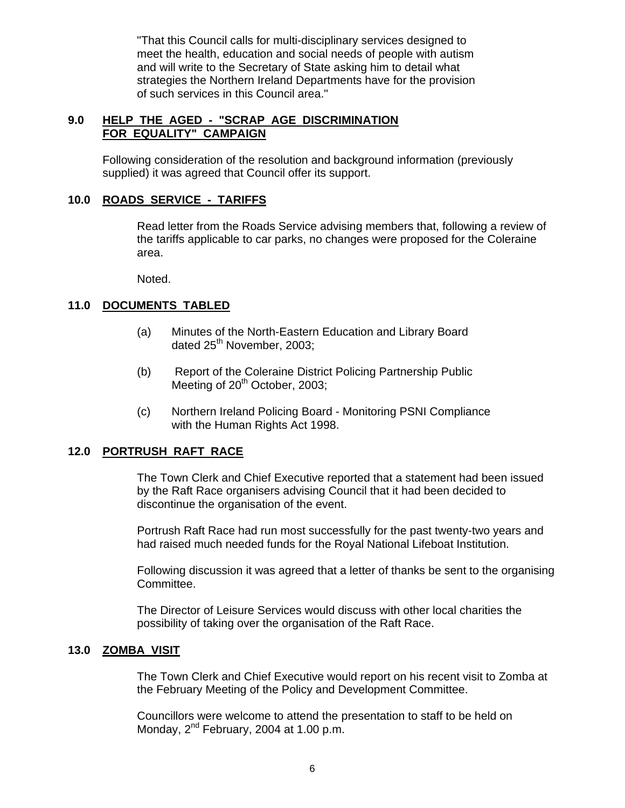"That this Council calls for multi-disciplinary services designed to meet the health, education and social needs of people with autism and will write to the Secretary of State asking him to detail what strategies the Northern Ireland Departments have for the provision of such services in this Council area."

## **9.0 HELP THE AGED - "SCRAP AGE DISCRIMINATION FOR EQUALITY" CAMPAIGN**

 Following consideration of the resolution and background information (previously supplied) it was agreed that Council offer its support.

#### **10.0 ROADS SERVICE - TARIFFS**

 Read letter from the Roads Service advising members that, following a review of the tariffs applicable to car parks, no changes were proposed for the Coleraine area.

Noted.

## **11.0 DOCUMENTS TABLED**

- (a) Minutes of the North-Eastern Education and Library Board dated 25<sup>th</sup> November, 2003;
- (b) Report of the Coleraine District Policing Partnership Public Meeting of  $20<sup>th</sup>$  October, 2003;
- (c) Northern Ireland Policing Board Monitoring PSNI Compliance with the Human Rights Act 1998.

#### **12.0 PORTRUSH RAFT RACE**

The Town Clerk and Chief Executive reported that a statement had been issued by the Raft Race organisers advising Council that it had been decided to discontinue the organisation of the event.

Portrush Raft Race had run most successfully for the past twenty-two years and had raised much needed funds for the Royal National Lifeboat Institution.

Following discussion it was agreed that a letter of thanks be sent to the organising Committee.

The Director of Leisure Services would discuss with other local charities the possibility of taking over the organisation of the Raft Race.

#### **13.0 ZOMBA VISIT**

 The Town Clerk and Chief Executive would report on his recent visit to Zomba at the February Meeting of the Policy and Development Committee.

Councillors were welcome to attend the presentation to staff to be held on Monday, 2<sup>nd</sup> February, 2004 at 1.00 p.m.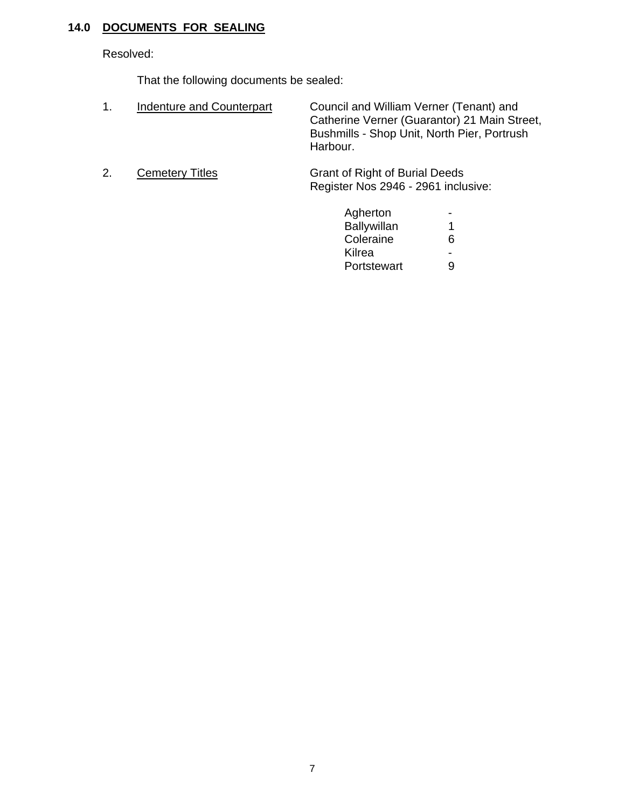## **14.0 DOCUMENTS FOR SEALING**

Resolved:

That the following documents be sealed:

- 1. Indenture and Counterpart Council and William Verner (Tenant) and Catherine Verner (Guarantor) 21 Main Street, Bushmills - Shop Unit, North Pier, Portrush Harbour.
- 

2. Cemetery Titles Grant of Right of Burial Deeds Register Nos 2946 - 2961 inclusive:

| Agherton           | - |
|--------------------|---|
| <b>Ballywillan</b> |   |
| Coleraine          | 6 |
| Kilrea             | - |
| Portstewart        | 9 |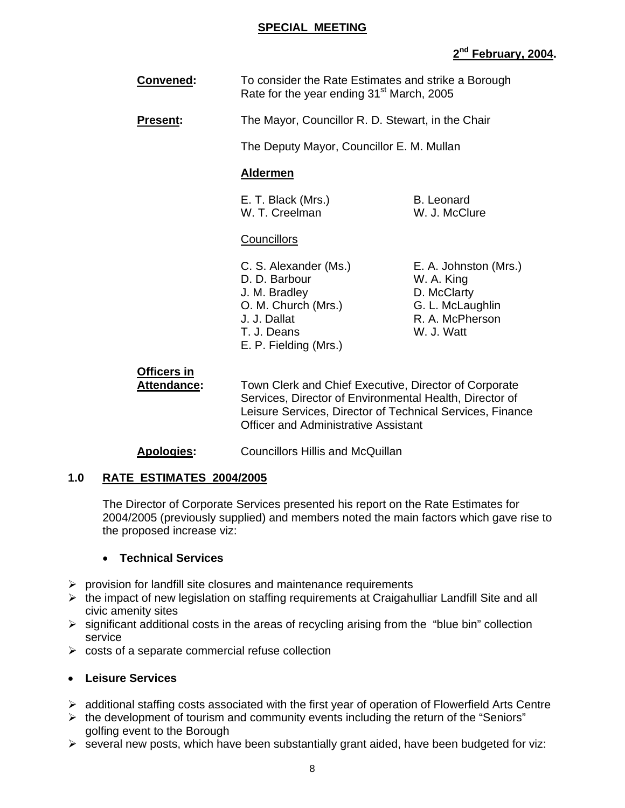#### **SPECIAL MEETING**

# **2nd February, 2004.**

| Convened: | To consider the Rate Estimates and strike a Borough   |
|-----------|-------------------------------------------------------|
|           | Rate for the year ending 31 <sup>st</sup> March, 2005 |

**Present:** The Mayor, Councillor R. D. Stewart, in the Chair

The Deputy Mayor, Councillor E. M. Mullan

## **Aldermen**

E. T. Black (Mrs.) B. Leonard W. T. Creelman W. J. McClure

#### **Councillors**

- C. S. Alexander (Ms.) E. A. Johnston (Mrs.) D. D. Barbour W. A. King J. M. Bradley D. McClarty O. M. Church (Mrs.) G. L. McLaughlin J. J. Dallat R. A. McPherson T. J. Deans W. J. Watt E. P. Fielding (Mrs.)
- 

# **Officers in**

 **Attendance:** Town Clerk and Chief Executive, Director of Corporate Services, Director of Environmental Health, Director of Leisure Services, Director of Technical Services, Finance Officer and Administrative Assistant

## **Apologies:** Councillors Hillis and McQuillan

## **1.0 RATE ESTIMATES 2004/2005**

The Director of Corporate Services presented his report on the Rate Estimates for 2004/2005 (previously supplied) and members noted the main factors which gave rise to the proposed increase viz:

## • **Technical Services**

- $\triangleright$  provision for landfill site closures and maintenance requirements
- $\triangleright$  the impact of new legislation on staffing requirements at Craigahulliar Landfill Site and all civic amenity sites
- $\triangleright$  significant additional costs in the areas of recycling arising from the "blue bin" collection service
- $\triangleright$  costs of a separate commercial refuse collection

## • **Leisure Services**

- $\triangleright$  additional staffing costs associated with the first year of operation of Flowerfield Arts Centre
- $\triangleright$  the development of tourism and community events including the return of the "Seniors" golfing event to the Borough
- $\triangleright$  several new posts, which have been substantially grant aided, have been budgeted for viz: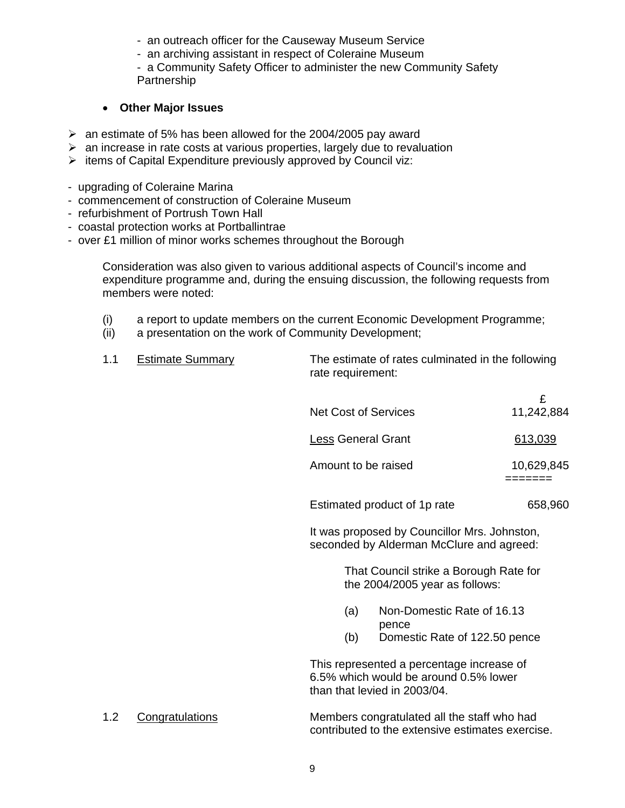- an outreach officer for the Causeway Museum Service
- an archiving assistant in respect of Coleraine Museum
- a Community Safety Officer to administer the new Community Safety **Partnership**

## • **Other Major Issues**

- $\geq$  an estimate of 5% has been allowed for the 2004/2005 pay award
- $\geq$  an increase in rate costs at various properties, largely due to revaluation
- $\triangleright$  items of Capital Expenditure previously approved by Council viz:
- upgrading of Coleraine Marina
- commencement of construction of Coleraine Museum
- refurbishment of Portrush Town Hall
- coastal protection works at Portballintrae
- over £1 million of minor works schemes throughout the Borough

Consideration was also given to various additional aspects of Council's income and expenditure programme and, during the ensuing discussion, the following requests from members were noted:

- (i) a report to update members on the current Economic Development Programme;
- (ii) a presentation on the work of Community Development;

| <b>Estimate Summary</b> | The estimate of rates culminated in the following |
|-------------------------|---------------------------------------------------|
|                         | rate requirement:                                 |

| <b>Net Cost of Services</b>  | 11,242,884 |
|------------------------------|------------|
| <b>Less General Grant</b>    | 613,039    |
| Amount to be raised          | 10,629,845 |
| Estimated product of 1p rate | 658,960    |

 It was proposed by Councillor Mrs. Johnston, seconded by Alderman McClure and agreed:

> That Council strike a Borough Rate for the 2004/2005 year as follows:

- (a) Non-Domestic Rate of 16.13 pence
- (b) Domestic Rate of 122.50 pence

 This represented a percentage increase of 6.5% which would be around 0.5% lower than that levied in 2003/04.

 1.2 Congratulations Members congratulated all the staff who had contributed to the extensive estimates exercise.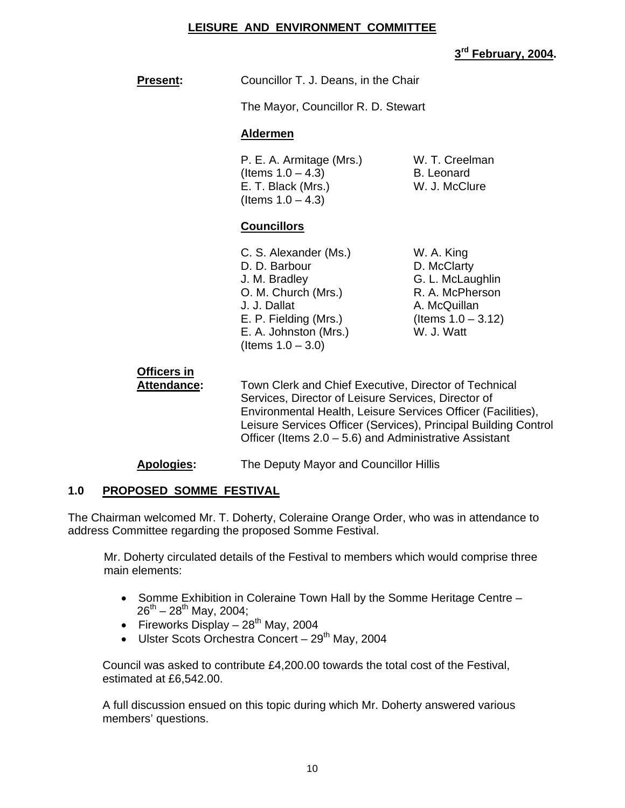## **LEISURE AND ENVIRONMENT COMMITTEE**

## **3rd February, 2004.**

| <b>Present:</b> | Councillor T. J. Deans, in the Chair |
|-----------------|--------------------------------------|
|                 | The Mayor, Councillor R. D. Stewart  |

#### **Aldermen**

P. E. A. Armitage (Mrs.) W. T. Creelman  $($ ltems  $1.0 - 4.3)$  B. Leonard E. T. Black (Mrs.) W. J. McClure (Items  $1.0 - 4.3$ )

#### **Councillors**

| C. S. Alexander (Ms.) |
|-----------------------|
| D. D. Barbour         |
| J. M. Bradley         |
| O. M. Church (Mrs.)   |
| J. J. Dallat          |
| E. P. Fielding (Mrs.) |
| E. A. Johnston (Mrs.) |
| (Items $1.0 - 3.0$ )  |

W. A. King. D. McClarty G. L. McLaughlin R. A. McPherson A. McQuillan (Items  $1.0 - 3.12$ ) W. J. Watt

# **Officers in**

 **Attendance:** Town Clerk and Chief Executive, Director of Technical Services, Director of Leisure Services, Director of Environmental Health, Leisure Services Officer (Facilities), Leisure Services Officer (Services), Principal Building Control Officer (Items 2.0 – 5.6) and Administrative Assistant

## **Apologies:** The Deputy Mayor and Councillor Hillis

## **1.0 PROPOSED SOMME FESTIVAL**

The Chairman welcomed Mr. T. Doherty, Coleraine Orange Order, who was in attendance to address Committee regarding the proposed Somme Festival.

Mr. Doherty circulated details of the Festival to members which would comprise three main elements:

- Somme Exhibition in Coleraine Town Hall by the Somme Heritage Centre  $26^{th} - 28^{th}$  May, 2004;
- Fireworks Display  $28^{th}$  May, 2004
- Ulster Scots Orchestra Concert  $29<sup>th</sup>$  May, 2004

Council was asked to contribute £4,200.00 towards the total cost of the Festival, estimated at £6,542.00.

A full discussion ensued on this topic during which Mr. Doherty answered various members' questions.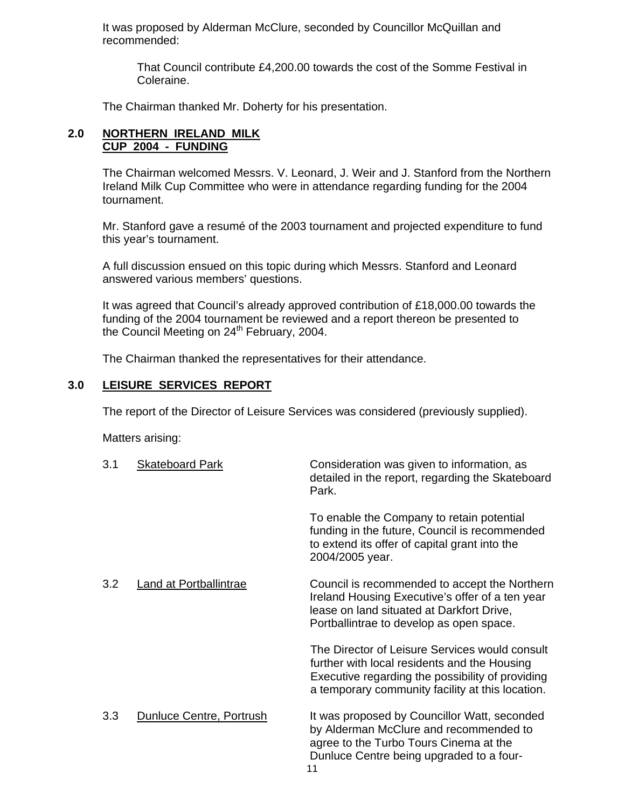It was proposed by Alderman McClure, seconded by Councillor McQuillan and recommended:

 That Council contribute £4,200.00 towards the cost of the Somme Festival in Coleraine.

The Chairman thanked Mr. Doherty for his presentation.

#### **2.0 NORTHERN IRELAND MILK CUP 2004 - FUNDING**

The Chairman welcomed Messrs. V. Leonard, J. Weir and J. Stanford from the Northern Ireland Milk Cup Committee who were in attendance regarding funding for the 2004 tournament.

Mr. Stanford gave a resumé of the 2003 tournament and projected expenditure to fund this year's tournament.

 A full discussion ensued on this topic during which Messrs. Stanford and Leonard answered various members' questions.

It was agreed that Council's already approved contribution of £18,000.00 towards the funding of the 2004 tournament be reviewed and a report thereon be presented to the Council Meeting on 24<sup>th</sup> February, 2004.

The Chairman thanked the representatives for their attendance.

#### **3.0 LEISURE SERVICES REPORT**

The report of the Director of Leisure Services was considered (previously supplied).

Matters arising:

| 3.1 | <b>Skateboard Park</b>   | Consideration was given to information, as<br>detailed in the report, regarding the Skateboard<br>Park.                                                                                                |
|-----|--------------------------|--------------------------------------------------------------------------------------------------------------------------------------------------------------------------------------------------------|
|     |                          | To enable the Company to retain potential<br>funding in the future, Council is recommended<br>to extend its offer of capital grant into the<br>2004/2005 year.                                         |
| 3.2 | Land at Portballintrae   | Council is recommended to accept the Northern<br>Ireland Housing Executive's offer of a ten year<br>lease on land situated at Darkfort Drive,<br>Portballintrae to develop as open space.              |
|     |                          | The Director of Leisure Services would consult<br>further with local residents and the Housing<br>Executive regarding the possibility of providing<br>a temporary community facility at this location. |
| 3.3 | Dunluce Centre, Portrush | It was proposed by Councillor Watt, seconded<br>by Alderman McClure and recommended to<br>agree to the Turbo Tours Cinema at the<br>Dunluce Centre being upgraded to a four-<br>11                     |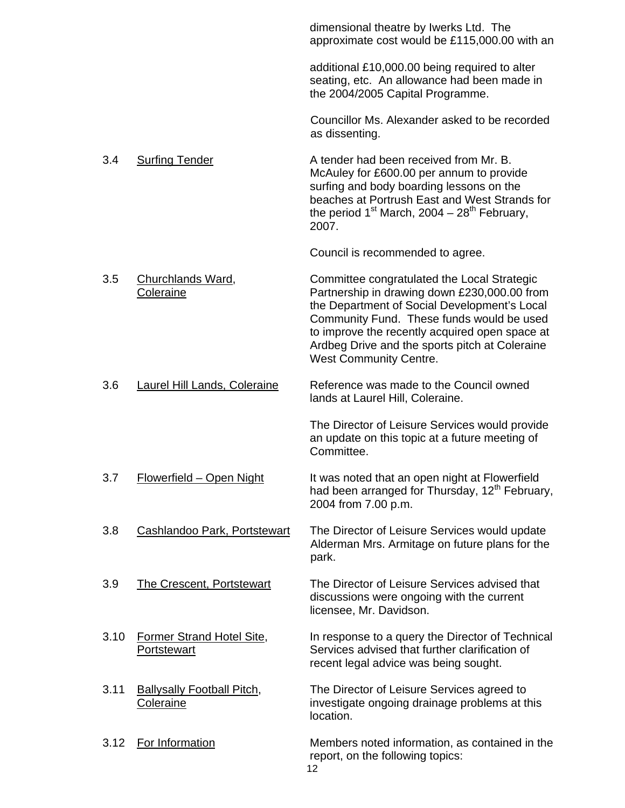|      |                                                 | dimensional theatre by Iwerks Ltd. The<br>approximate cost would be £115,000.00 with an                                                                                                                                                                                                                                       |
|------|-------------------------------------------------|-------------------------------------------------------------------------------------------------------------------------------------------------------------------------------------------------------------------------------------------------------------------------------------------------------------------------------|
|      |                                                 | additional £10,000.00 being required to alter<br>seating, etc. An allowance had been made in<br>the 2004/2005 Capital Programme.                                                                                                                                                                                              |
|      |                                                 | Councillor Ms. Alexander asked to be recorded<br>as dissenting.                                                                                                                                                                                                                                                               |
| 3.4  | <b>Surfing Tender</b>                           | A tender had been received from Mr. B.<br>McAuley for £600.00 per annum to provide<br>surfing and body boarding lessons on the<br>beaches at Portrush East and West Strands for<br>the period $1^{st}$ March, 2004 - 28 <sup>th</sup> February,<br>2007.                                                                      |
|      |                                                 | Council is recommended to agree.                                                                                                                                                                                                                                                                                              |
| 3.5  | Churchlands Ward,<br>Coleraine                  | Committee congratulated the Local Strategic<br>Partnership in drawing down £230,000.00 from<br>the Department of Social Development's Local<br>Community Fund. These funds would be used<br>to improve the recently acquired open space at<br>Ardbeg Drive and the sports pitch at Coleraine<br><b>West Community Centre.</b> |
| 3.6  | Laurel Hill Lands, Coleraine                    | Reference was made to the Council owned<br>lands at Laurel Hill, Coleraine.                                                                                                                                                                                                                                                   |
|      |                                                 | The Director of Leisure Services would provide<br>an update on this topic at a future meeting of<br>Committee.                                                                                                                                                                                                                |
| 3.7  | Flowerfield - Open Night                        | It was noted that an open night at Flowerfield<br>had been arranged for Thursday, 12 <sup>th</sup> February,<br>2004 from 7.00 p.m.                                                                                                                                                                                           |
| 3.8  | Cashlandoo Park, Portstewart                    | The Director of Leisure Services would update<br>Alderman Mrs. Armitage on future plans for the<br>park.                                                                                                                                                                                                                      |
| 3.9  | <b>The Crescent, Portstewart</b>                | The Director of Leisure Services advised that<br>discussions were ongoing with the current<br>licensee, Mr. Davidson.                                                                                                                                                                                                         |
| 3.10 | <b>Former Strand Hotel Site,</b><br>Portstewart | In response to a query the Director of Technical<br>Services advised that further clarification of<br>recent legal advice was being sought.                                                                                                                                                                                   |
| 3.11 | <b>Ballysally Football Pitch,</b><br>Coleraine  | The Director of Leisure Services agreed to<br>investigate ongoing drainage problems at this<br>location.                                                                                                                                                                                                                      |
| 3.12 | For Information                                 | Members noted information, as contained in the<br>report, on the following topics:<br>12                                                                                                                                                                                                                                      |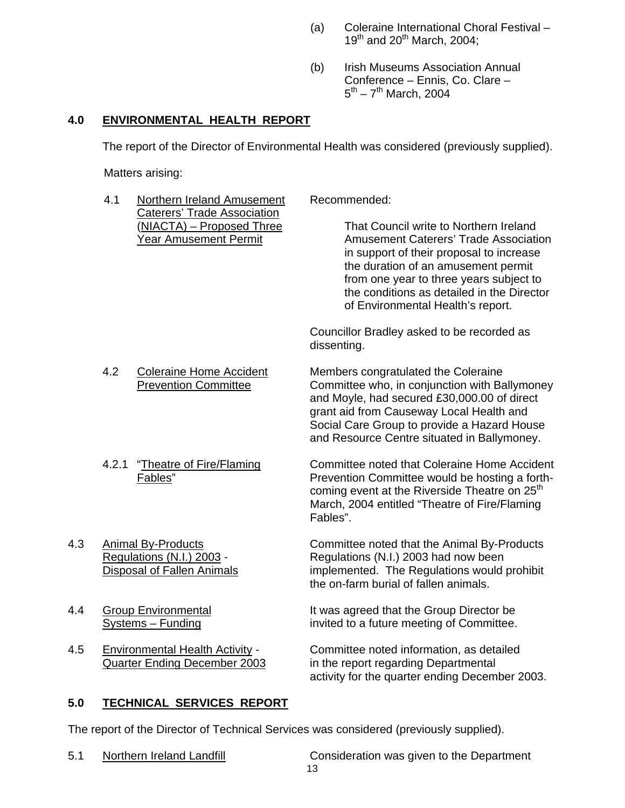- (a) Coleraine International Choral Festival  $19^{th}$  and  $20^{th}$  March, 2004;
- (b) Irish Museums Association Annual Conference – Ennis, Co. Clare –  $5^{th} - 7^{th}$  March, 2004

# **4.0 ENVIRONMENTAL HEALTH REPORT**

The report of the Director of Environmental Health was considered (previously supplied).

Matters arising:

|     | 4.1   | Northern Ireland Amusement<br><b>Caterers' Trade Association</b>                            | Recommended:                                                                                                                                                                                                                                                                                            |
|-----|-------|---------------------------------------------------------------------------------------------|---------------------------------------------------------------------------------------------------------------------------------------------------------------------------------------------------------------------------------------------------------------------------------------------------------|
|     |       | (NIACTA) - Proposed Three<br><b>Year Amusement Permit</b>                                   | That Council write to Northern Ireland<br><b>Amusement Caterers' Trade Association</b><br>in support of their proposal to increase<br>the duration of an amusement permit<br>from one year to three years subject to<br>the conditions as detailed in the Director<br>of Environmental Health's report. |
|     |       |                                                                                             | Councillor Bradley asked to be recorded as<br>dissenting.                                                                                                                                                                                                                                               |
|     | 4.2   | <b>Coleraine Home Accident</b><br><b>Prevention Committee</b>                               | Members congratulated the Coleraine<br>Committee who, in conjunction with Ballymoney<br>and Moyle, had secured £30,000.00 of direct<br>grant aid from Causeway Local Health and<br>Social Care Group to provide a Hazard House<br>and Resource Centre situated in Ballymoney.                           |
|     | 4.2.1 | "Theatre of Fire/Flaming<br>Fables"                                                         | Committee noted that Coleraine Home Accident<br>Prevention Committee would be hosting a forth-<br>coming event at the Riverside Theatre on 25 <sup>th</sup><br>March, 2004 entitled "Theatre of Fire/Flaming<br>Fables".                                                                                |
| 4.3 |       | <b>Animal By-Products</b><br>Regulations (N.I.) 2003 -<br><b>Disposal of Fallen Animals</b> | Committee noted that the Animal By-Products<br>Regulations (N.I.) 2003 had now been<br>implemented. The Regulations would prohibit<br>the on-farm burial of fallen animals.                                                                                                                             |
| 4.4 |       | <b>Group Environmental</b><br>Systems - Funding                                             | It was agreed that the Group Director be<br>invited to a future meeting of Committee.                                                                                                                                                                                                                   |
| 4.5 |       | <b>Environmental Health Activity -</b><br>Quarter Ending December 2003                      | Committee noted information, as detailed<br>in the report regarding Departmental<br>activity for the quarter ending December 2003.                                                                                                                                                                      |

## **5.0 TECHNICAL SERVICES REPORT**

The report of the Director of Technical Services was considered (previously supplied).

13 5.1 Northern Ireland Landfill Consideration was given to the Department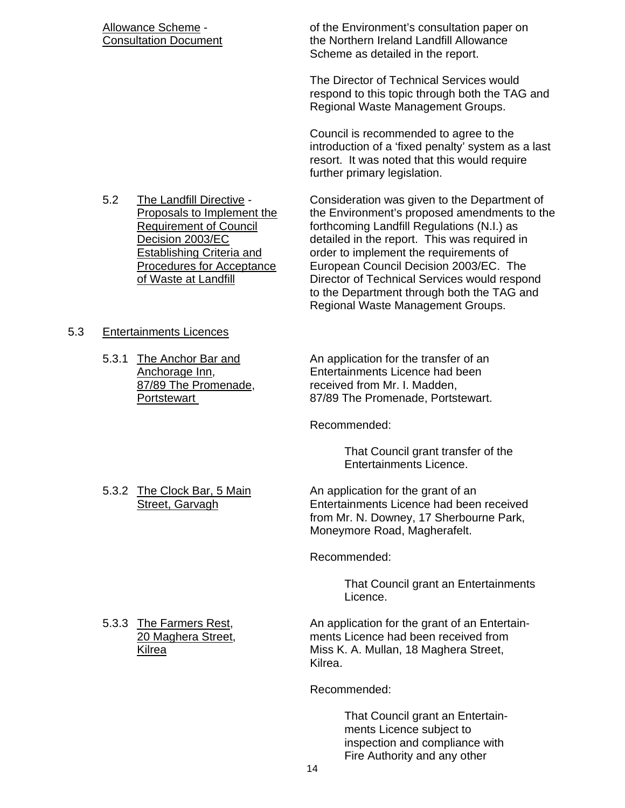Allowance Scheme - of the Environment's consultation paper on Consultation Document The Northern Ireland Landfill Allowance Scheme as detailed in the report.

> The Director of Technical Services would respond to this topic through both the TAG and Regional Waste Management Groups.

> Council is recommended to agree to the introduction of a 'fixed penalty' system as a last resort. It was noted that this would require further primary legislation.

 5.2 The Landfill Directive - Consideration was given to the Department of Proposals to Implement the the Environment's proposed amendments to the Requirement of Council the forthcoming Landfill Requlations (N.I.) as forthcoming Landfill Regulations (N.I.) as Decision 2003/EC detailed in the report. This was required in Establishing Criteria and order to implement the requirements of Procedures for Acceptance European Council Decision 2003/EC. The of Waste at Landfill Director of Technical Services would respond to the Department through both the TAG and Regional Waste Management Groups.

## 5.3 Entertainments Licences

5.3.1 The Anchor Bar and An application for the transfer of an Anchorage Inn, Entertainments Licence had been 87/89 The Promenade, received from Mr. I. Madden, Portstewart **87/89** The Promenade, Portstewart.

Recommended:

 That Council grant transfer of the Entertainments Licence.

5.3.2 The Clock Bar, 5 Main An application for the grant of an Street, Garvagh **Entertainments Licence had been received**  from Mr. N. Downey, 17 Sherbourne Park, Moneymore Road, Magherafelt.

Recommended:

 That Council grant an Entertainments Licence.

5.3.3 The Farmers Rest, **An application for the grant of an Entertain-** 20 Maghera Street, ments Licence had been received from Kilrea **Miss K. A. Mullan, 18 Maghera Street**, Kilrea.

Recommended:

 That Council grant an Entertain ments Licence subject to inspection and compliance with Fire Authority and any other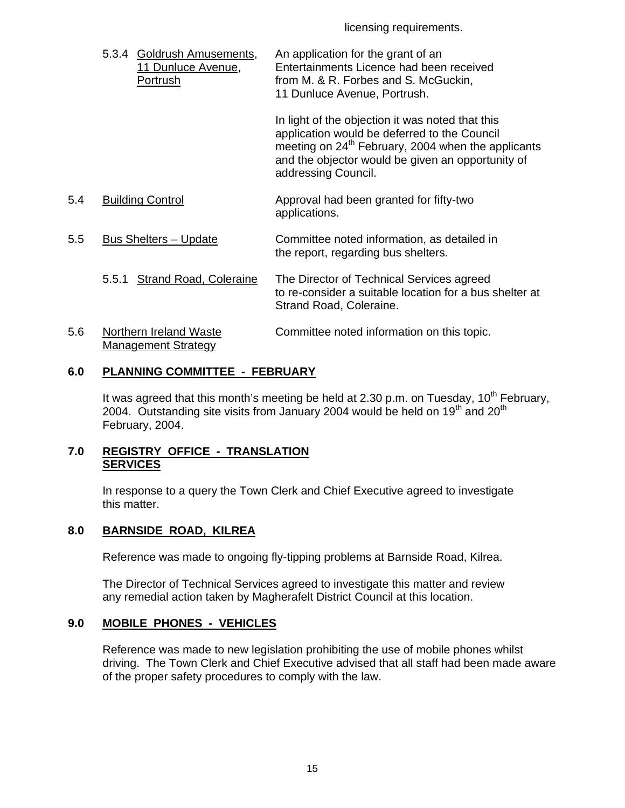licensing requirements.

 5.3.4 Goldrush Amusements, An application for the grant of an 11 Dunluce Avenue, Entertainments Licence had been received Portrush **From M. & R. Forbes and S. McGuckin**, 11 Dunluce Avenue, Portrush.

> In light of the objection it was noted that this application would be deferred to the Council meeting on 24<sup>th</sup> February, 2004 when the applicants and the objector would be given an opportunity of addressing Council.

- 5.4 Building Control Approval had been granted for fifty-two applications.
- 5.5 Bus Shelters Update Committee noted information, as detailed in the report, regarding bus shelters.
	- 5.5.1 Strand Road, Coleraine The Director of Technical Services agreed to re-consider a suitable location for a bus shelter at Strand Road, Coleraine.

#### 5.6 Northern Ireland Waste Committee noted information on this topic. Management Strategy

# **6.0 PLANNING COMMITTEE - FEBRUARY**

It was agreed that this month's meeting be held at 2.30 p.m. on Tuesday,  $10^{th}$  February, 2004. Outstanding site visits from January 2004 would be held on 19<sup>th</sup> and 20<sup>th</sup> February, 2004.

## **7.0 REGISTRY OFFICE - TRANSLATION SERVICES**

 In response to a query the Town Clerk and Chief Executive agreed to investigate this matter.

## **8.0 BARNSIDE ROAD, KILREA**

Reference was made to ongoing fly-tipping problems at Barnside Road, Kilrea.

 The Director of Technical Services agreed to investigate this matter and review any remedial action taken by Magherafelt District Council at this location.

# **9.0 MOBILE PHONES - VEHICLES**

 Reference was made to new legislation prohibiting the use of mobile phones whilst driving. The Town Clerk and Chief Executive advised that all staff had been made aware of the proper safety procedures to comply with the law.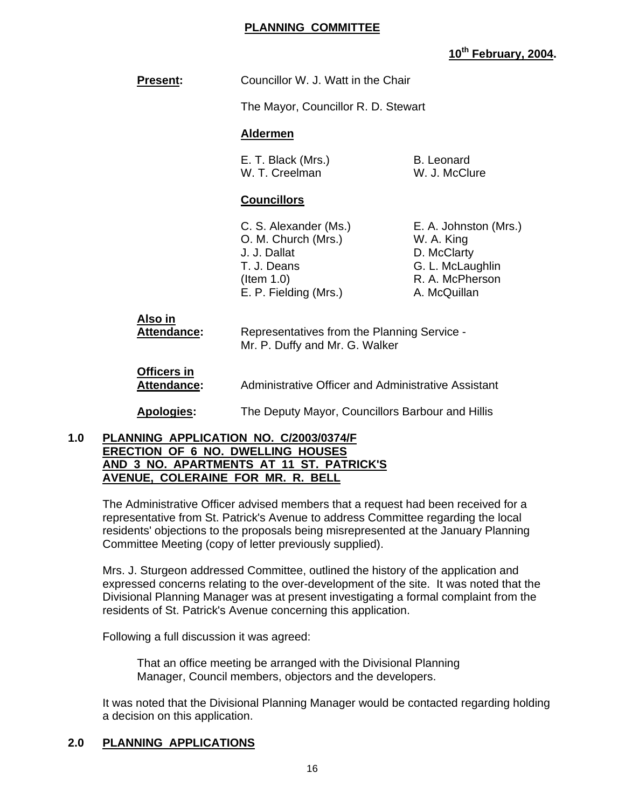#### **PLANNING COMMITTEE**

## **10th February, 2004.**

| <b>Present:</b>                                     | Councillor W. J. Watt in the Chair                                                                                       |                                                                                                           |  |
|-----------------------------------------------------|--------------------------------------------------------------------------------------------------------------------------|-----------------------------------------------------------------------------------------------------------|--|
|                                                     | The Mayor, Councillor R. D. Stewart                                                                                      |                                                                                                           |  |
|                                                     | <b>Aldermen</b>                                                                                                          |                                                                                                           |  |
|                                                     | E. T. Black (Mrs.)<br>W. T. Creelman                                                                                     | <b>B.</b> Leonard<br>W. J. McClure                                                                        |  |
|                                                     | <b>Councillors</b>                                                                                                       |                                                                                                           |  |
|                                                     | C. S. Alexander (Ms.)<br>O. M. Church (Mrs.)<br>J. J. Dallat<br>T. J. Deans<br>$($ ltem 1.0 $)$<br>E. P. Fielding (Mrs.) | E. A. Johnston (Mrs.)<br>W. A. King<br>D. McClarty<br>G. L. McLaughlin<br>R. A. McPherson<br>A. McQuillan |  |
| Also in<br>Attendance:                              | Representatives from the Planning Service -<br>Mr. P. Duffy and Mr. G. Walker                                            |                                                                                                           |  |
| Officers in<br>Attendance:                          | Administrative Officer and Administrative Assistant                                                                      |                                                                                                           |  |
| Apologies:                                          | The Deputy Mayor, Councillors Barbour and Hillis                                                                         |                                                                                                           |  |
| DI ANNINIO ADDIJOATIONI NO OMOOOMOJAM<br>$\sqrt{ }$ |                                                                                                                          |                                                                                                           |  |

#### **1.0 PLANNING APPLICATION NO. C/2003/0374/F ERECTION OF 6 NO. DWELLING HOUSES AND 3 NO. APARTMENTS AT 11 ST. PATRICK'S AVENUE, COLERAINE FOR MR. R. BELL**

 The Administrative Officer advised members that a request had been received for a representative from St. Patrick's Avenue to address Committee regarding the local residents' objections to the proposals being misrepresented at the January Planning Committee Meeting (copy of letter previously supplied).

Mrs. J. Sturgeon addressed Committee, outlined the history of the application and expressed concerns relating to the over-development of the site. It was noted that the Divisional Planning Manager was at present investigating a formal complaint from the residents of St. Patrick's Avenue concerning this application.

Following a full discussion it was agreed:

 That an office meeting be arranged with the Divisional Planning Manager, Council members, objectors and the developers.

It was noted that the Divisional Planning Manager would be contacted regarding holding a decision on this application.

## **2.0 PLANNING APPLICATIONS**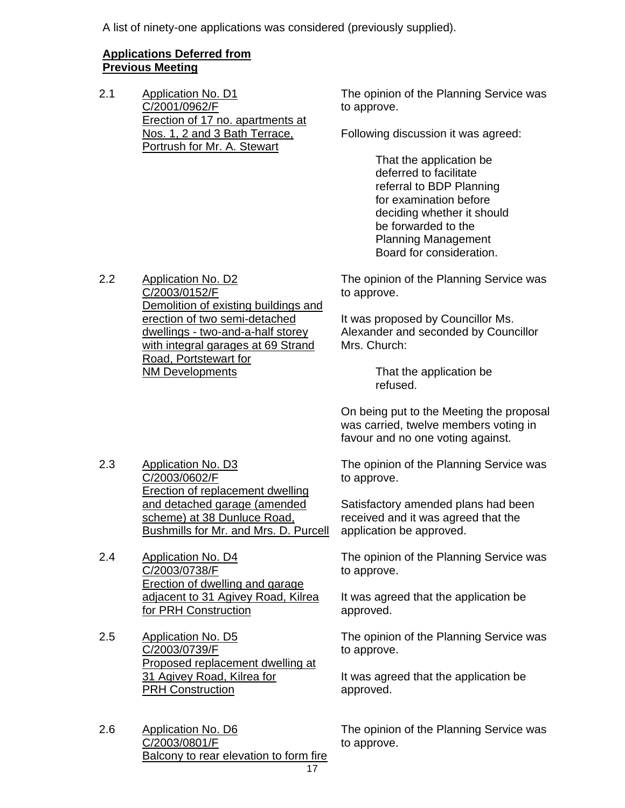A list of ninety-one applications was considered (previously supplied).

## **Applications Deferred from Previous Meeting**

2.1 Application No. D1 C/2001/0962/F Erection of 17 no. apartments at Nos. 1, 2 and 3 Bath Terrace, Portrush for Mr. A. Stewart

The opinion of the Planning Service was to approve.

Following discussion it was agreed:

 That the application be deferred to facilitate referral to BDP Planning for examination before deciding whether it should be forwarded to the Planning Management Board for consideration.

2.2 Application No. D2 C/2003/0152/F Demolition of existing buildings and erection of two semi-detached dwellings - two-and-a-half storey with integral garages at 69 Strand Road, Portstewart for NM Developments

The opinion of the Planning Service was to approve.

It was proposed by Councillor Ms. Alexander and seconded by Councillor Mrs. Church:

> That the application be refused.

On being put to the Meeting the proposal was carried, twelve members voting in favour and no one voting against.

2.3 Application No. D3 C/2003/0602/F Erection of replacement dwelling and detached garage (amended scheme) at 38 Dunluce Road, Bushmills for Mr. and Mrs. D. Purcell

2.4 Application No. D4 C/2003/0738/F Erection of dwelling and garage adjacent to 31 Agivey Road, Kilrea for PRH Construction

2.5 Application No. D5 C/2003/0739/F Proposed replacement dwelling at 31 Agivey Road, Kilrea for **PRH Construction** 

2.6 Application No. D6 C/2003/0801/F Balcony to rear elevation to form fire The opinion of the Planning Service was to approve.

Satisfactory amended plans had been received and it was agreed that the application be approved.

The opinion of the Planning Service was to approve.

It was agreed that the application be approved.

The opinion of the Planning Service was to approve.

It was agreed that the application be approved.

The opinion of the Planning Service was to approve.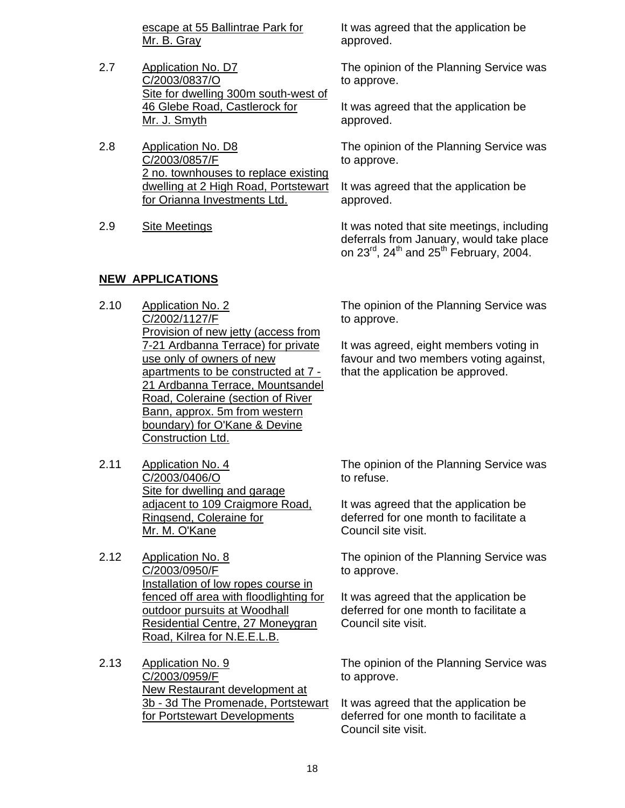escape at 55 Ballintrae Park for Mr. B. Gray

- 2.7 Application No. D7 C/2003/0837/O Site for dwelling 300m south-west of 46 Glebe Road, Castlerock for Mr. J. Smyth
- 2.8 Application No. D8 C/2003/0857/F 2 no. townhouses to replace existing dwelling at 2 High Road, Portstewart for Orianna Investments Ltd.
- 

## **NEW APPLICATIONS**

- 2.10 Application No. 2 C/2002/1127/F Provision of new jetty (access from 7-21 Ardbanna Terrace) for private use only of owners of new apartments to be constructed at 7 - 21 Ardbanna Terrace, Mountsandel Road, Coleraine (section of River Bann, approx. 5m from western boundary) for O'Kane & Devine Construction Ltd.
- 2.11 Application No. 4 C/2003/0406/O Site for dwelling and garage adjacent to 109 Craigmore Road, Ringsend, Coleraine for Mr. M. O'Kane
- 2.12 Application No. 8 C/2003/0950/F Installation of low ropes course in fenced off area with floodlighting for outdoor pursuits at Woodhall Residential Centre, 27 Moneygran Road, Kilrea for N.E.E.L.B.
- 2.13 Application No. 9 C/2003/0959/F New Restaurant development at 3b - 3d The Promenade, Portstewart for Portstewart Developments

It was agreed that the application be approved.

The opinion of the Planning Service was to approve.

It was agreed that the application be approved.

The opinion of the Planning Service was to approve.

It was agreed that the application be approved.

2.9 Site Meetings **It was noted that site meetings, including** deferrals from January, would take place on  $23^{\text{rd}}$ ,  $24^{\text{th}}$  and  $25^{\text{th}}$  February, 2004.

> The opinion of the Planning Service was to approve.

> It was agreed, eight members voting in favour and two members voting against, that the application be approved.

> The opinion of the Planning Service was to refuse.

It was agreed that the application be deferred for one month to facilitate a Council site visit.

The opinion of the Planning Service was to approve.

It was agreed that the application be deferred for one month to facilitate a Council site visit.

The opinion of the Planning Service was to approve.

It was agreed that the application be deferred for one month to facilitate a Council site visit.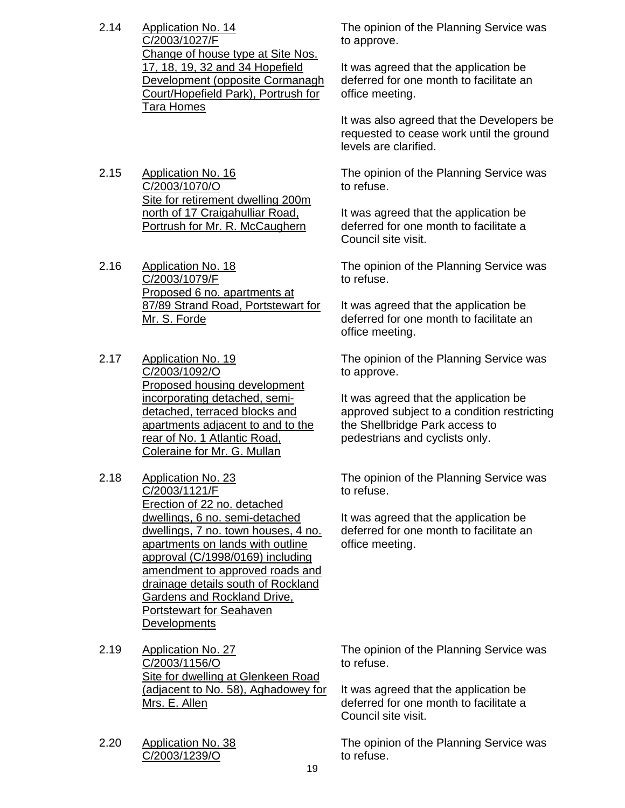- 2.14 Application No. 14 C/2003/1027/F Change of house type at Site Nos. 17, 18, 19, 32 and 34 Hopefield Development (opposite Cormanagh Court/Hopefield Park), Portrush for Tara Homes
- 2.15 Application No. 16 C/2003/1070/O Site for retirement dwelling 200m north of 17 Craigahulliar Road, Portrush for Mr. R. McCaughern
- 2.16 Application No. 18 C/2003/1079/F Proposed 6 no. apartments at 87/89 Strand Road, Portstewart for Mr. S. Forde
- 2.17 Application No. 19 C/2003/1092/O Proposed housing development incorporating detached, semidetached, terraced blocks and apartments adjacent to and to the rear of No. 1 Atlantic Road, Coleraine for Mr. G. Mullan
- 2.18 Application No. 23 C/2003/1121/F Erection of 22 no. detached dwellings, 6 no. semi-detached dwellings, 7 no. town houses, 4 no. apartments on lands with outline approval (C/1998/0169) including amendment to approved roads and drainage details south of Rockland Gardens and Rockland Drive, Portstewart for Seahaven **Developments**
- 2.19 Application No. 27 C/2003/1156/O Site for dwelling at Glenkeen Road (adjacent to No. 58), Aghadowey for Mrs. E. Allen
- 2.20 Application No. 38 C/2003/1239/O

The opinion of the Planning Service was to approve.

It was agreed that the application be deferred for one month to facilitate an office meeting.

It was also agreed that the Developers be requested to cease work until the ground levels are clarified.

The opinion of the Planning Service was to refuse.

It was agreed that the application be deferred for one month to facilitate a Council site visit.

The opinion of the Planning Service was to refuse.

It was agreed that the application be deferred for one month to facilitate an office meeting.

The opinion of the Planning Service was to approve.

It was agreed that the application be approved subject to a condition restricting the Shellbridge Park access to pedestrians and cyclists only.

The opinion of the Planning Service was to refuse.

It was agreed that the application be deferred for one month to facilitate an office meeting.

The opinion of the Planning Service was to refuse.

It was agreed that the application be deferred for one month to facilitate a Council site visit.

The opinion of the Planning Service was to refuse.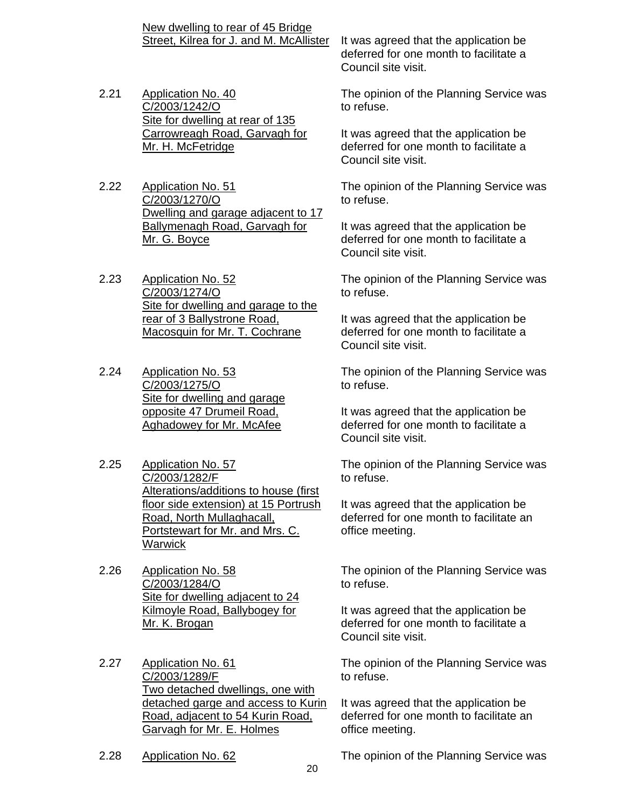2.21 Application No. 40 C/2003/1242/O Site for dwelling at rear of 135 Carrowreagh Road, Garvagh for Mr. H. McFetridge

New dwelling to rear of 45 Bridge

2.22 Application No. 51 C/2003/1270/O Dwelling and garage adjacent to 17 Ballymenagh Road, Garvagh for Mr. G. Boyce

2.23 Application No. 52 C/2003/1274/O Site for dwelling and garage to the rear of 3 Ballystrone Road, Macosquin for Mr. T. Cochrane

- 2.24 Application No. 53 C/2003/1275/O Site for dwelling and garage opposite 47 Drumeil Road, Aghadowey for Mr. McAfee
- 2.25 Application No. 57 C/2003/1282/F Alterations/additions to house (first floor side extension) at 15 Portrush Road, North Mullaghacall, Portstewart for Mr. and Mrs. C. **Warwick**
- 2.26 Application No. 58 C/2003/1284/O Site for dwelling adjacent to 24 Kilmoyle Road, Ballybogey for Mr. K. Brogan
- 2.27 Application No. 61 C/2003/1289/F Two detached dwellings, one with detached garge and access to Kurin Road, adjacent to 54 Kurin Road, Garvagh for Mr. E. Holmes
- 

Street, Kilrea for J. and M. McAllister It was agreed that the application be deferred for one month to facilitate a Council site visit.

> The opinion of the Planning Service was to refuse.

It was agreed that the application be deferred for one month to facilitate a Council site visit.

The opinion of the Planning Service was to refuse.

It was agreed that the application be deferred for one month to facilitate a Council site visit.

The opinion of the Planning Service was to refuse.

It was agreed that the application be deferred for one month to facilitate a Council site visit.

The opinion of the Planning Service was to refuse.

It was agreed that the application be deferred for one month to facilitate a Council site visit.

The opinion of the Planning Service was to refuse.

It was agreed that the application be deferred for one month to facilitate an office meeting.

The opinion of the Planning Service was to refuse.

It was agreed that the application be deferred for one month to facilitate a Council site visit.

The opinion of the Planning Service was to refuse.

It was agreed that the application be deferred for one month to facilitate an office meeting.

2.28 Application No. 62 The opinion of the Planning Service was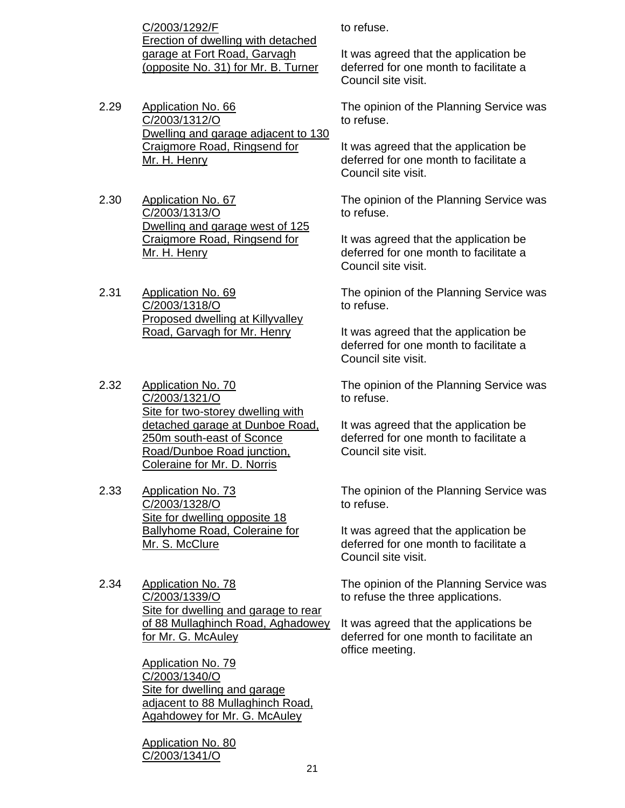C/2003/1292/F Erection of dwelling with detached garage at Fort Road, Garvagh (opposite No. 31) for Mr. B. Turner

- 2.29 Application No. 66 C/2003/1312/O Dwelling and garage adjacent to 130 Craigmore Road, Ringsend for Mr. H. Henry
- 2.30 Application No. 67 C/2003/1313/O Dwelling and garage west of 125 Craigmore Road, Ringsend for Mr. H. Henry
- 2.31 Application No. 69 C/2003/1318/O Proposed dwelling at Killyvalley Road, Garvagh for Mr. Henry
- 2.32 Application No. 70 C/2003/1321/O Site for two-storey dwelling with detached garage at Dunboe Road, 250m south-east of Sconce Road/Dunboe Road junction, Coleraine for Mr. D. Norris
- 2.33 Application No. 73 C/2003/1328/O Site for dwelling opposite 18 Ballyhome Road, Coleraine for Mr. S. McClure
- 2.34 Application No. 78 C/2003/1339/O Site for dwelling and garage to rear of 88 Mullaghinch Road, Aghadowey for Mr. G. McAuley

Application No. 79 C/2003/1340/O Site for dwelling and garage adjacent to 88 Mullaghinch Road, Agahdowey for Mr. G. McAuley

Application No. 80 C/2003/1341/O

to refuse.

It was agreed that the application be deferred for one month to facilitate a Council site visit.

The opinion of the Planning Service was to refuse.

It was agreed that the application be deferred for one month to facilitate a Council site visit.

The opinion of the Planning Service was to refuse.

It was agreed that the application be deferred for one month to facilitate a Council site visit.

The opinion of the Planning Service was to refuse.

It was agreed that the application be deferred for one month to facilitate a Council site visit.

The opinion of the Planning Service was to refuse.

It was agreed that the application be deferred for one month to facilitate a Council site visit.

The opinion of the Planning Service was to refuse.

It was agreed that the application be deferred for one month to facilitate a Council site visit.

The opinion of the Planning Service was to refuse the three applications.

It was agreed that the applications be deferred for one month to facilitate an office meeting.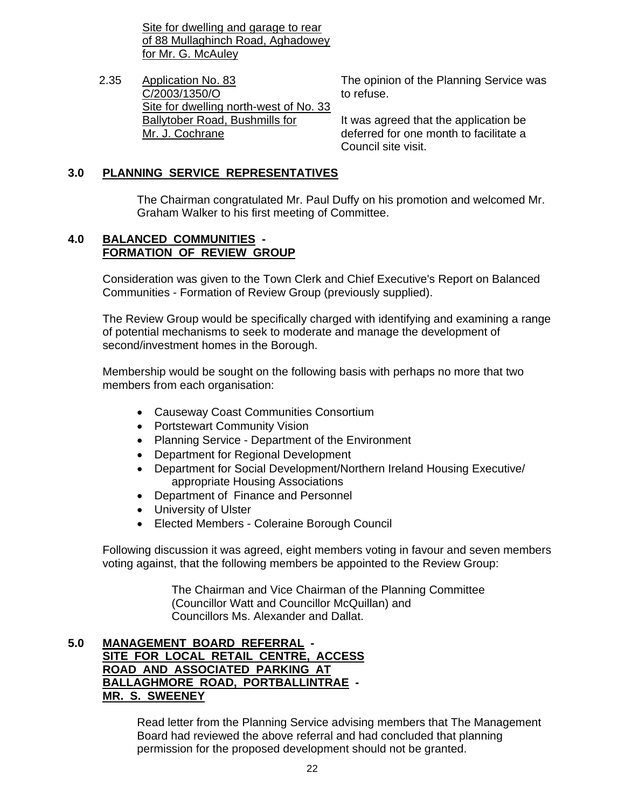Site for dwelling and garage to rear of 88 Mullaghinch Road, Aghadowey for Mr. G. McAuley

2.35 Application No. 83 C/2003/1350/O Site for dwelling north-west of No. 33 Ballytober Road, Bushmills for Mr. J. Cochrane

The opinion of the Planning Service was to refuse.

It was agreed that the application be deferred for one month to facilitate a Council site visit.

## **3.0 PLANNING SERVICE REPRESENTATIVES**

 The Chairman congratulated Mr. Paul Duffy on his promotion and welcomed Mr. Graham Walker to his first meeting of Committee.

#### **4.0 BALANCED COMMUNITIES - FORMATION OF REVIEW GROUP**

Consideration was given to the Town Clerk and Chief Executive's Report on Balanced Communities - Formation of Review Group (previously supplied).

The Review Group would be specifically charged with identifying and examining a range of potential mechanisms to seek to moderate and manage the development of second/investment homes in the Borough.

Membership would be sought on the following basis with perhaps no more that two members from each organisation:

- Causeway Coast Communities Consortium
- Portstewart Community Vision
- Planning Service Department of the Environment
- Department for Regional Development
- Department for Social Development/Northern Ireland Housing Executive/ appropriate Housing Associations
- Department of Finance and Personnel
- University of Ulster
- Elected Members Coleraine Borough Council

 Following discussion it was agreed, eight members voting in favour and seven members voting against, that the following members be appointed to the Review Group:

> The Chairman and Vice Chairman of the Planning Committee (Councillor Watt and Councillor McQuillan) and Councillors Ms. Alexander and Dallat.

#### **5.0 MANAGEMENT BOARD REFERRAL - SITE FOR LOCAL RETAIL CENTRE, ACCESS ROAD AND ASSOCIATED PARKING AT BALLAGHMORE ROAD, PORTBALLINTRAE - MR. S. SWEENEY**

 Read letter from the Planning Service advising members that The Management Board had reviewed the above referral and had concluded that planning permission for the proposed development should not be granted.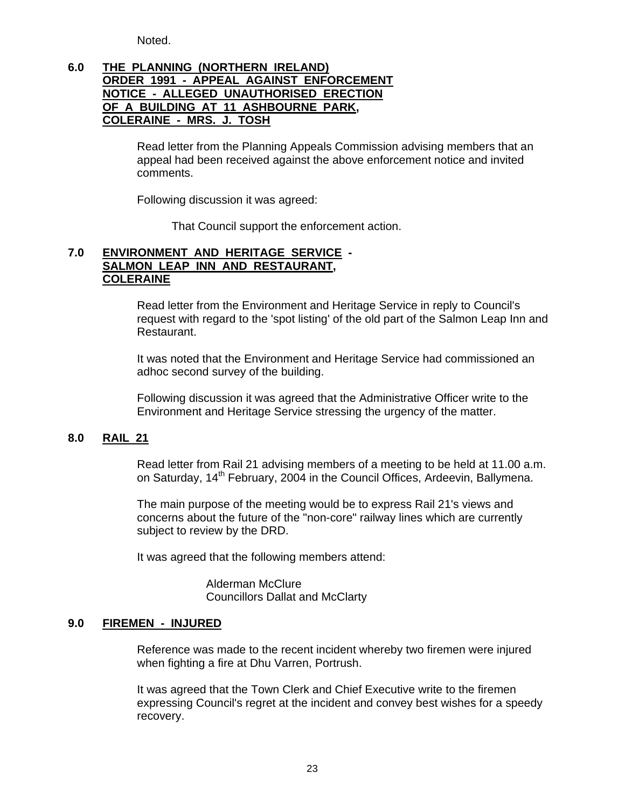Noted.

## **6.0 THE PLANNING (NORTHERN IRELAND) ORDER 1991 - APPEAL AGAINST ENFORCEMENT NOTICE - ALLEGED UNAUTHORISED ERECTION OF A BUILDING AT 11 ASHBOURNE PARK, COLERAINE - MRS. J. TOSH**

 Read letter from the Planning Appeals Commission advising members that an appeal had been received against the above enforcement notice and invited comments.

Following discussion it was agreed:

That Council support the enforcement action.

#### **7.0 ENVIRONMENT AND HERITAGE SERVICE - SALMON LEAP INN AND RESTAURANT, COLERAINE**

Read letter from the Environment and Heritage Service in reply to Council's request with regard to the 'spot listing' of the old part of the Salmon Leap Inn and Restaurant.

It was noted that the Environment and Heritage Service had commissioned an adhoc second survey of the building.

Following discussion it was agreed that the Administrative Officer write to the Environment and Heritage Service stressing the urgency of the matter.

#### **8.0 RAIL 21**

Read letter from Rail 21 advising members of a meeting to be held at 11.00 a.m. on Saturday, 14<sup>th</sup> February, 2004 in the Council Offices, Ardeevin, Ballymena.

The main purpose of the meeting would be to express Rail 21's views and concerns about the future of the "non-core" railway lines which are currently subject to review by the DRD.

It was agreed that the following members attend:

 Alderman McClure Councillors Dallat and McClarty

#### **9.0 FIREMEN - INJURED**

 Reference was made to the recent incident whereby two firemen were injured when fighting a fire at Dhu Varren, Portrush.

 It was agreed that the Town Clerk and Chief Executive write to the firemen expressing Council's regret at the incident and convey best wishes for a speedy recovery.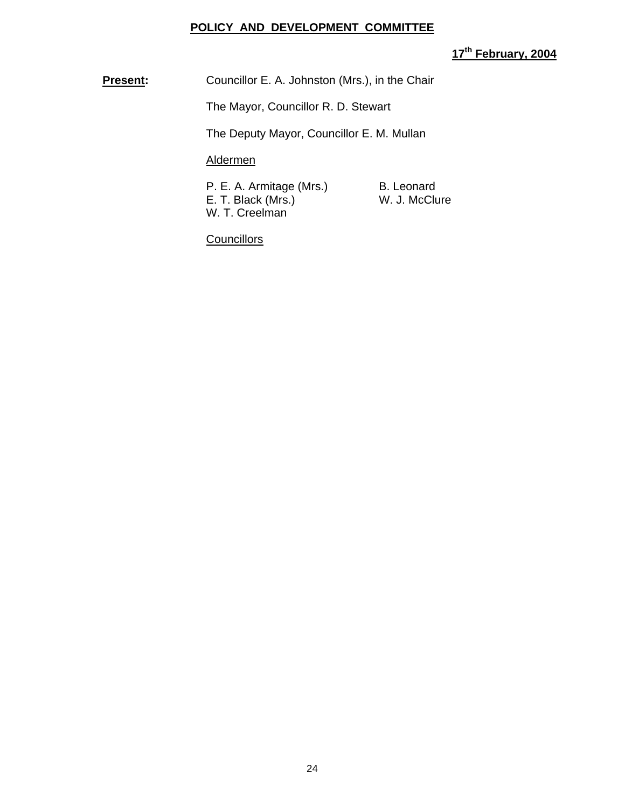#### **POLICY AND DEVELOPMENT COMMITTEE**

# **17th February, 2004**

**Present:** Councillor E. A. Johnston (Mrs.), in the Chair

The Mayor, Councillor R. D. Stewart

The Deputy Mayor, Councillor E. M. Mullan

## Aldermen

P. E. A. Armitage (Mrs.) B. Leonard<br>E. T. Black (Mrs.) B. W. J. McClure  $E.$  T. Black (Mrs.) W. T. Creelman

**Councillors**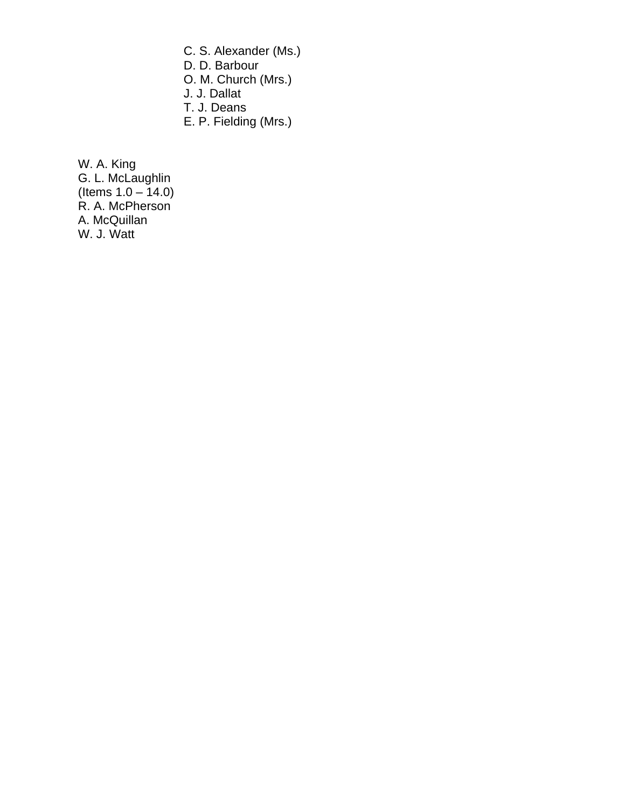C. S. Alexander (Ms.)

D. D. Barbour

O. M. Church (Mrs.)

J. J. Dallat

T. J. Deans

E. P. Fielding (Mrs.)

W. A. King G. L. McLaughlin (Items 1.0 – 14.0) R. A. McPherson A. McQuillan W. J. Watt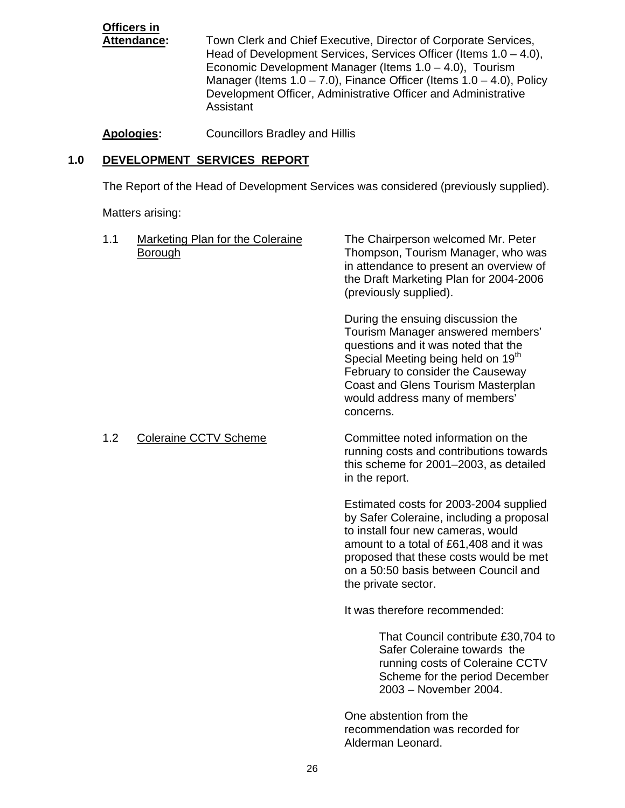**Officers in** Town Clerk and Chief Executive, Director of Corporate Services, Head of Development Services, Services Officer (Items 1.0 – 4.0), Economic Development Manager (Items 1.0 – 4.0), Tourism Manager (Items  $1.0 - 7.0$ ), Finance Officer (Items  $1.0 - 4.0$ ), Policy Development Officer, Administrative Officer and Administrative Assistant

#### **Apologies:** Councillors Bradley and Hillis

#### **1.0 DEVELOPMENT SERVICES REPORT**

The Report of the Head of Development Services was considered (previously supplied).

Matters arising:

| 1.1 | Marketing Plan for the Coleraine<br><b>Borough</b> | The Chairperson welcomed Mr. Peter<br>Thompson, Tourism Manager, who was<br>in attendance to present an overview of<br>the Draft Marketing Plan for 2004-2006<br>(previously supplied).                                                                                                   |
|-----|----------------------------------------------------|-------------------------------------------------------------------------------------------------------------------------------------------------------------------------------------------------------------------------------------------------------------------------------------------|
|     |                                                    | During the ensuing discussion the<br>Tourism Manager answered members'<br>questions and it was noted that the<br>Special Meeting being held on 19 <sup>th</sup><br>February to consider the Causeway<br>Coast and Glens Tourism Masterplan<br>would address many of members'<br>concerns. |
| 1.2 | <b>Coleraine CCTV Scheme</b>                       | Committee noted information on the<br>running costs and contributions towards<br>this scheme for 2001-2003, as detailed<br>in the report.                                                                                                                                                 |
|     |                                                    | Estimated costs for 2003-2004 supplied<br>by Safer Coleraine, including a proposal<br>to install four new cameras, would<br>amount to a total of £61,408 and it was<br>proposed that these costs would be met<br>on a 50:50 basis between Council and<br>the private sector.              |
|     |                                                    | It was therefore recommended:                                                                                                                                                                                                                                                             |
|     |                                                    | That Council contribute £30,704 to<br>Safer Coleraine towards the<br>running costs of Coleraine CCTV<br>Scheme for the period December<br>2003 - November 2004.                                                                                                                           |

One abstention from the recommendation was recorded for Alderman Leonard.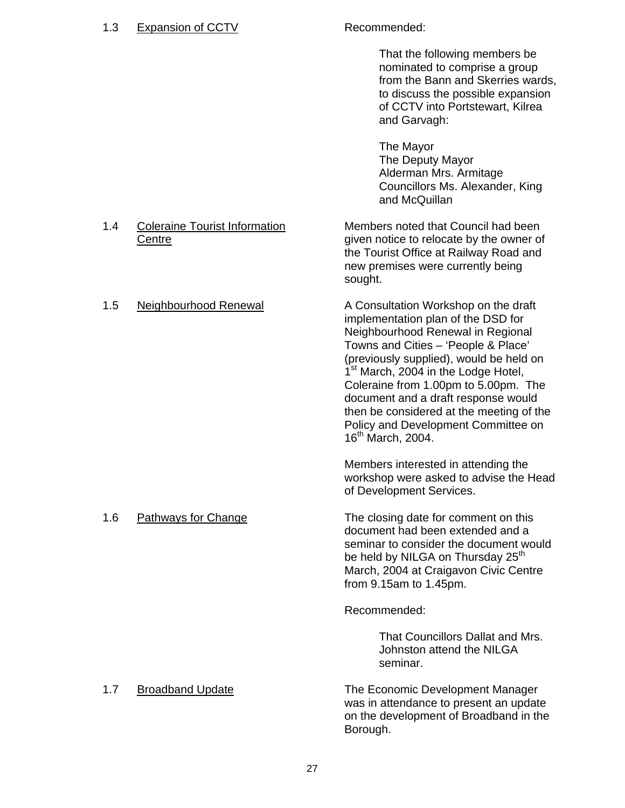#### 1.3 Expansion of CCTV Recommended:

 That the following members be nominated to comprise a group from the Bann and Skerries wards, to discuss the possible expansion of CCTV into Portstewart, Kilrea and Garvagh:

The Mayor The Deputy Mayor Alderman Mrs. Armitage Councillors Ms. Alexander, King and McQuillan

#### 1.4 Coleraine Tourist Information Members noted that Council had been Centre General Centre given notice to relocate by the owner of the Tourist Office at Railway Road and

 new premises were currently being sought. 1.5 Neighbourhood Renewal A Consultation Workshop on the draft implementation plan of the DSD for Neighbourhood Renewal in Regional Towns and Cities – 'People & Place' (previously supplied), would be held on 1<sup>st</sup> March, 2004 in the Lodge Hotel,

Coleraine from 1.00pm to 5.00pm. The document and a draft response would then be considered at the meeting of the Policy and Development Committee on 16<sup>th</sup> March, 2004.

Members interested in attending the workshop were asked to advise the Head of Development Services.

1.6 Pathways for Change The closing date for comment on this document had been extended and a seminar to consider the document would be held by NILGA on Thursday 25<sup>th</sup> March, 2004 at Craigavon Civic Centre from 9.15am to 1.45pm.

Recommended:

 That Councillors Dallat and Mrs. Johnston attend the NILGA seminar.

1.7 Broadband Update The Economic Development Manager was in attendance to present an update on the development of Broadband in the Borough.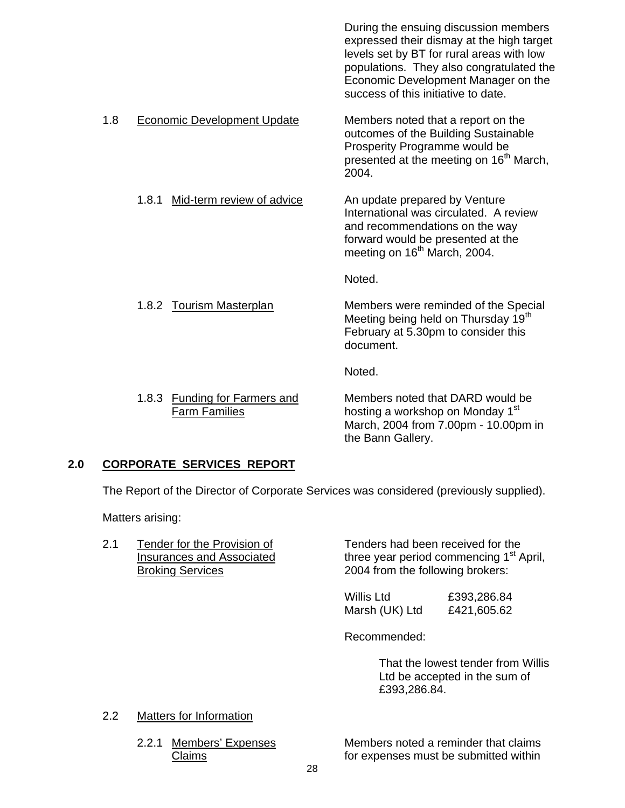|     |                                                       | During the ensuing discussion members<br>expressed their dismay at the high target<br>levels set by BT for rural areas with low<br>populations. They also congratulated the<br>Economic Development Manager on the<br>success of this initiative to date. |
|-----|-------------------------------------------------------|-----------------------------------------------------------------------------------------------------------------------------------------------------------------------------------------------------------------------------------------------------------|
| 1.8 | <b>Economic Development Update</b>                    | Members noted that a report on the<br>outcomes of the Building Sustainable<br>Prosperity Programme would be<br>presented at the meeting on 16 <sup>th</sup> March,<br>2004.                                                                               |
|     | Mid-term review of advice<br>1.8.1                    | An update prepared by Venture<br>International was circulated. A review<br>and recommendations on the way<br>forward would be presented at the<br>meeting on 16 <sup>th</sup> March, 2004.                                                                |
|     |                                                       | Noted.                                                                                                                                                                                                                                                    |
|     | 1.8.2 Tourism Masterplan                              | Members were reminded of the Special<br>Meeting being held on Thursday 19 <sup>th</sup><br>February at 5.30pm to consider this<br>document.                                                                                                               |
|     |                                                       | Noted.                                                                                                                                                                                                                                                    |
|     | 1.8.3 Funding for Farmers and<br><b>Farm Families</b> | Members noted that DARD would be<br>hosting a workshop on Monday 1 <sup>st</sup><br>March, 2004 from 7.00pm - 10.00pm in<br>the Bann Gallery.                                                                                                             |

## **2.0 CORPORATE SERVICES REPORT**

The Report of the Director of Corporate Services was considered (previously supplied).

Matters arising:

2.1 Tender for the Provision of Tenders had been received for the<br>Insurances and Associated three year period commencing 1<sup>st</sup> A three year period commencing  $1<sup>st</sup>$  April, Broking Services 2004 from the following brokers:

> Willis Ltd £393,286.84 Marsh (UK) Ltd £421,605.62

Recommended:

That the lowest tender from Willis Ltd be accepted in the sum of £393,286.84.

#### 2.2 Matters for Information

2.2.1 Members' Expenses Members noted a reminder that claims Claims **Claims for expenses must be submitted within**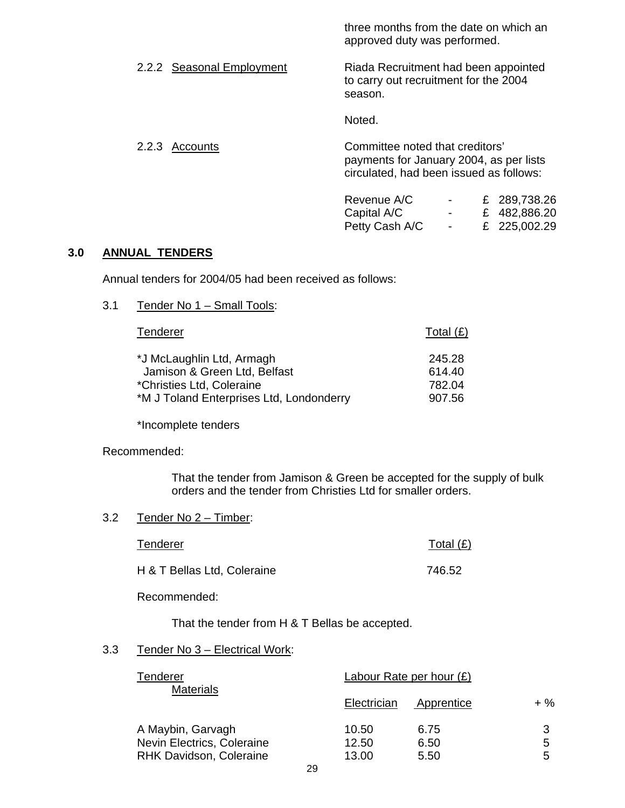three months from the date on which an approved duty was performed.

2.2.2 Seasonal Employment Riada Recruitment had been appointed to carry out recruitment for the 2004 season.

Noted.

2.2.3 Accounts Committee noted that creditors' payments for January 2004, as per lists circulated, had been issued as follows:

| Revenue A/C    | <b>Contract Contract Contract</b> | £ 289,738.26 |
|----------------|-----------------------------------|--------------|
| Capital A/C    | <b>Service Contract Contract</b>  | £ 482,886.20 |
| Petty Cash A/C | <b>Contract Contract Contract</b> | £ 225,002.29 |

#### **3.0 ANNUAL TENDERS**

Annual tenders for 2004/05 had been received as follows:

#### 3.1 Tender No 1 – Small Tools:

| <b>Tenderer</b>                          | Total $(E)$ |
|------------------------------------------|-------------|
| *J McLaughlin Ltd, Armagh                | 245.28      |
| Jamison & Green Ltd, Belfast             | 614.40      |
| *Christies Ltd, Coleraine                | 782.04      |
| *M J Toland Enterprises Ltd, Londonderry | 907.56      |

\*Incomplete tenders

#### Recommended:

That the tender from Jamison & Green be accepted for the supply of bulk orders and the tender from Christies Ltd for smaller orders.

#### 3.2 Tender No 2 – Timber:

| Tenderer                    | Total $(E)$ |
|-----------------------------|-------------|
| H & T Bellas Ltd, Coleraine | 746.52      |

Recommended:

That the tender from H & T Bellas be accepted.

#### 3.3 Tender No 3 – Electrical Work:

| Tenderer                       | Labour Rate per hour $(E)$ |            |        |
|--------------------------------|----------------------------|------------|--------|
| <b>Materials</b>               | Electrician                | Apprentice | $+ \%$ |
| A Maybin, Garvagh              | 10.50                      | 6.75       | 3      |
| Nevin Electrics, Coleraine     | 12.50                      | 6.50       | 5      |
| <b>RHK Davidson, Coleraine</b> | 13.00                      | 5.50       | 5      |
| $\sim$ $\sim$                  |                            |            |        |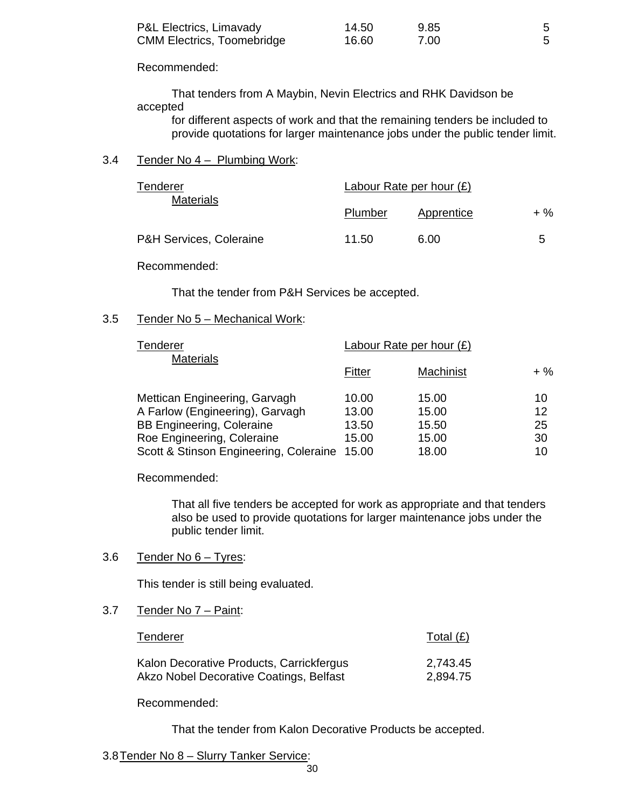| P&L Electrics, Limavady           | 14.50 | 9.85 |  |
|-----------------------------------|-------|------|--|
| <b>CMM Electrics, Toomebridge</b> | 16.60 | 7.00 |  |

Recommended:

 That tenders from A Maybin, Nevin Electrics and RHK Davidson be accepted

 for different aspects of work and that the remaining tenders be included to provide quotations for larger maintenance jobs under the public tender limit.

#### 3.4 Tender No 4 – Plumbing Work:

| Tenderer<br><b>Materials</b> | Labour Rate per hour $(E)$ |            |     |
|------------------------------|----------------------------|------------|-----|
|                              | Plumber                    | Apprentice | + % |
| P&H Services, Coleraine      | 11.50                      | 6.00       | 5   |

#### Recommended:

That the tender from P&H Services be accepted.

#### 3.5 Tender No 5 – Mechanical Work:

| Tenderer<br><b>Materials</b>           | Labour Rate per hour $(E)$ |           |        |  |
|----------------------------------------|----------------------------|-----------|--------|--|
|                                        | Fitter                     | Machinist | $+ \%$ |  |
| Mettican Engineering, Garvagh          | 10.00                      | 15.00     | 10     |  |
| A Farlow (Engineering), Garvagh        | 13.00                      | 15.00     | 12     |  |
| <b>BB Engineering, Coleraine</b>       | 13.50                      | 15.50     | 25     |  |
| Roe Engineering, Coleraine             | 15.00                      | 15.00     | 30     |  |
| Scott & Stinson Engineering, Coleraine | 15.00                      | 18.00     | 10     |  |

Recommended:

 That all five tenders be accepted for work as appropriate and that tenders also be used to provide quotations for larger maintenance jobs under the public tender limit.

#### 3.6 Tender No  $6 -$  Tyres:

This tender is still being evaluated.

#### 3.7 Tender No 7 – Paint:

| Tenderer                                 | Total $(E)$ |
|------------------------------------------|-------------|
| Kalon Decorative Products, Carrickfergus | 2,743.45    |
| Akzo Nobel Decorative Coatings, Belfast  | 2,894.75    |

Recommended:

That the tender from Kalon Decorative Products be accepted.

3.8 Tender No 8 – Slurry Tanker Service: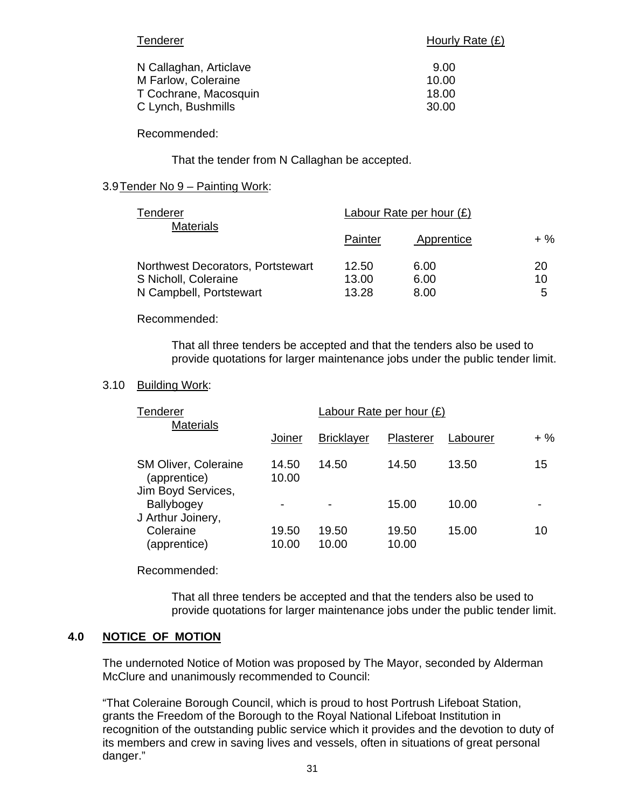| Tenderer               | Hourly Rate (£) |  |
|------------------------|-----------------|--|
| N Callaghan, Articlave | 9.00            |  |
| M Farlow, Coleraine    | 10.00           |  |
| T Cochrane, Macosquin  | 18.00           |  |
| C Lynch, Bushmills     | 30.00           |  |

Recommended:

That the tender from N Callaghan be accepted.

#### 3.9 Tender No 9 – Painting Work:

| Tenderer                          | Labour Rate per hour $(E)$ |            |        |
|-----------------------------------|----------------------------|------------|--------|
| <b>Materials</b>                  | Painter                    | Apprentice | $+ \%$ |
| Northwest Decorators, Portstewart | 12.50                      | 6.00       | 20     |
| S Nicholl, Coleraine              | 13.00                      | 6.00       | 10     |
| N Campbell, Portstewart           | 13.28                      | 8.00       | 5      |

#### Recommended:

That all three tenders be accepted and that the tenders also be used to provide quotations for larger maintenance jobs under the public tender limit.

#### 3.10 Building Work:

| Tenderer                                                          |                          | Labour Rate per hour $(E)$ |                |          |        |
|-------------------------------------------------------------------|--------------------------|----------------------------|----------------|----------|--------|
| <b>Materials</b>                                                  | Joiner                   | <b>Bricklayer</b>          | Plasterer      | Labourer | $+ \%$ |
| <b>SM Oliver, Coleraine</b><br>(apprentice)<br>Jim Boyd Services, | 14.50<br>10.00           | 14.50                      | 14.50          | 13.50    | 15     |
| Ballybogey<br>J Arthur Joinery,                                   | $\overline{\phantom{0}}$ |                            | 15.00          | 10.00    |        |
| Coleraine<br>(apprentice)                                         | 19.50<br>10.00           | 19.50<br>10.00             | 19.50<br>10.00 | 15.00    | 10     |

#### Recommended:

 That all three tenders be accepted and that the tenders also be used to provide quotations for larger maintenance jobs under the public tender limit.

#### **4.0 NOTICE OF MOTION**

The undernoted Notice of Motion was proposed by The Mayor, seconded by Alderman McClure and unanimously recommended to Council:

"That Coleraine Borough Council, which is proud to host Portrush Lifeboat Station, grants the Freedom of the Borough to the Royal National Lifeboat Institution in recognition of the outstanding public service which it provides and the devotion to duty of its members and crew in saving lives and vessels, often in situations of great personal danger."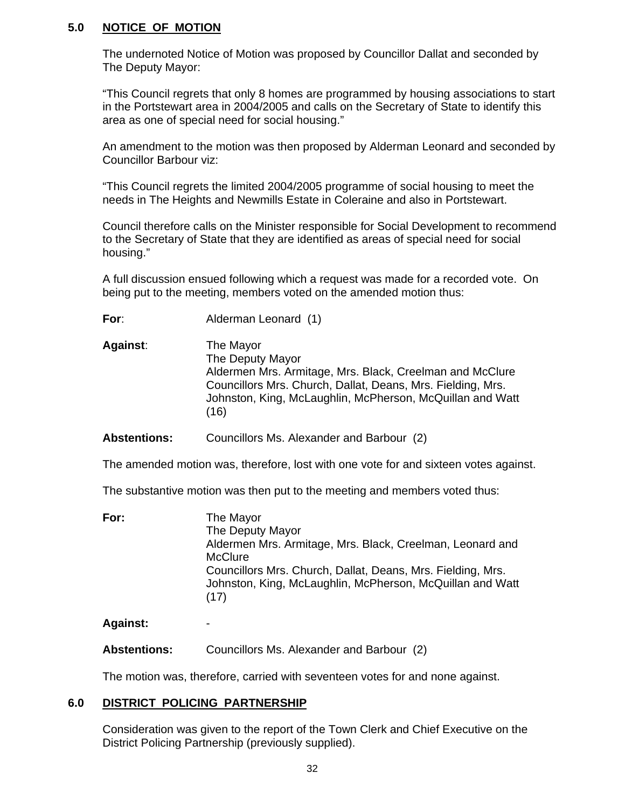#### **5.0 NOTICE OF MOTION**

 The undernoted Notice of Motion was proposed by Councillor Dallat and seconded by The Deputy Mayor:

"This Council regrets that only 8 homes are programmed by housing associations to start in the Portstewart area in 2004/2005 and calls on the Secretary of State to identify this area as one of special need for social housing."

An amendment to the motion was then proposed by Alderman Leonard and seconded by Councillor Barbour viz:

"This Council regrets the limited 2004/2005 programme of social housing to meet the needs in The Heights and Newmills Estate in Coleraine and also in Portstewart.

Council therefore calls on the Minister responsible for Social Development to recommend to the Secretary of State that they are identified as areas of special need for social housing."

A full discussion ensued following which a request was made for a recorded vote. On being put to the meeting, members voted on the amended motion thus:

**For**: Alderman Leonard (1)

**Against**: The Mayor The Deputy Mayor Aldermen Mrs. Armitage, Mrs. Black, Creelman and McClure Councillors Mrs. Church, Dallat, Deans, Mrs. Fielding, Mrs. Johnston, King, McLaughlin, McPherson, McQuillan and Watt (16)

 **Abstentions:** Councillors Ms. Alexander and Barbour (2)

The amended motion was, therefore, lost with one vote for and sixteen votes against.

The substantive motion was then put to the meeting and members voted thus:

| For: | The Mayor                                                                                                                        |
|------|----------------------------------------------------------------------------------------------------------------------------------|
|      | The Deputy Mayor                                                                                                                 |
|      | Aldermen Mrs. Armitage, Mrs. Black, Creelman, Leonard and                                                                        |
|      | <b>McClure</b>                                                                                                                   |
|      | Councillors Mrs. Church, Dallat, Deans, Mrs. Fielding, Mrs.<br>Johnston, King, McLaughlin, McPherson, McQuillan and Watt<br>(17) |
|      |                                                                                                                                  |

**Against:** -

**Abstentions:** Councillors Ms. Alexander and Barbour (2)

The motion was, therefore, carried with seventeen votes for and none against.

#### **6.0 DISTRICT POLICING PARTNERSHIP**

Consideration was given to the report of the Town Clerk and Chief Executive on the District Policing Partnership (previously supplied).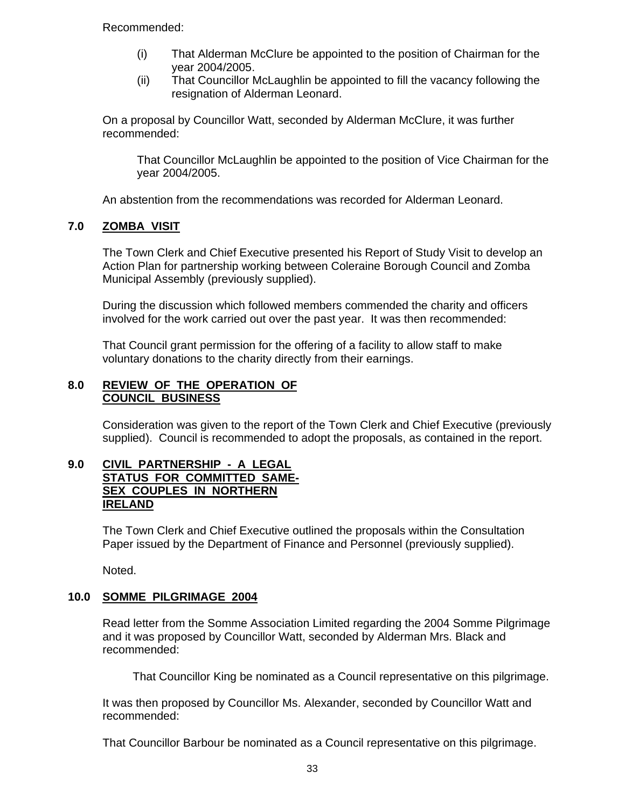Recommended:

- (i) That Alderman McClure be appointed to the position of Chairman for the year 2004/2005.
- (ii) That Councillor McLaughlin be appointed to fill the vacancy following the resignation of Alderman Leonard.

On a proposal by Councillor Watt, seconded by Alderman McClure, it was further recommended:

That Councillor McLaughlin be appointed to the position of Vice Chairman for the year 2004/2005.

An abstention from the recommendations was recorded for Alderman Leonard.

## **7.0 ZOMBA VISIT**

The Town Clerk and Chief Executive presented his Report of Study Visit to develop an Action Plan for partnership working between Coleraine Borough Council and Zomba Municipal Assembly (previously supplied).

During the discussion which followed members commended the charity and officers involved for the work carried out over the past year. It was then recommended:

 That Council grant permission for the offering of a facility to allow staff to make voluntary donations to the charity directly from their earnings.

#### **8.0 REVIEW OF THE OPERATION OF COUNCIL BUSINESS**

Consideration was given to the report of the Town Clerk and Chief Executive (previously supplied). Council is recommended to adopt the proposals, as contained in the report.

#### **9.0 CIVIL PARTNERSHIP - A LEGAL STATUS FOR COMMITTED SAME-SEX COUPLES IN NORTHERN IRELAND**

The Town Clerk and Chief Executive outlined the proposals within the Consultation Paper issued by the Department of Finance and Personnel (previously supplied).

Noted.

## **10.0 SOMME PILGRIMAGE 2004**

Read letter from the Somme Association Limited regarding the 2004 Somme Pilgrimage and it was proposed by Councillor Watt, seconded by Alderman Mrs. Black and recommended:

That Councillor King be nominated as a Council representative on this pilgrimage.

 It was then proposed by Councillor Ms. Alexander, seconded by Councillor Watt and recommended:

That Councillor Barbour be nominated as a Council representative on this pilgrimage.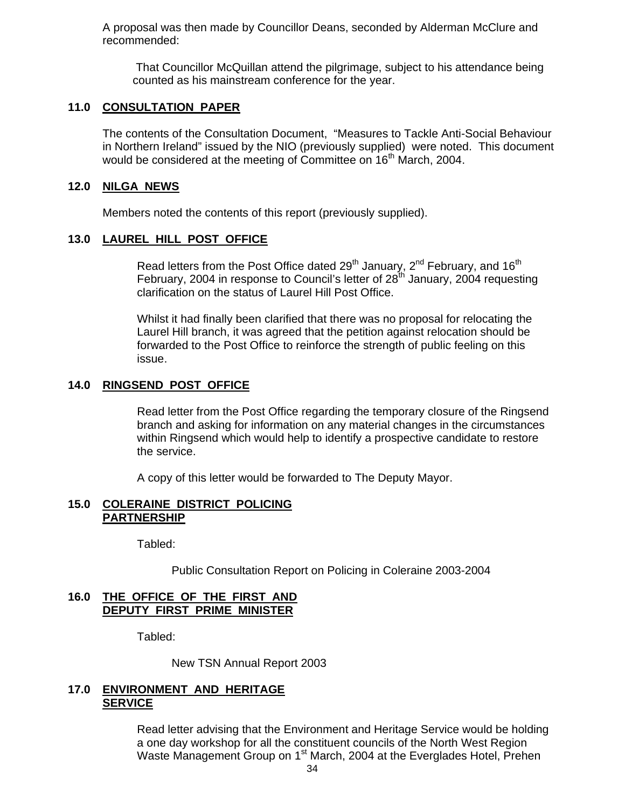A proposal was then made by Councillor Deans, seconded by Alderman McClure and recommended:

 That Councillor McQuillan attend the pilgrimage, subject to his attendance being counted as his mainstream conference for the year.

#### **11.0 CONSULTATION PAPER**

The contents of the Consultation Document, "Measures to Tackle Anti-Social Behaviour in Northern Ireland" issued by the NIO (previously supplied) were noted. This document would be considered at the meeting of Committee on 16<sup>th</sup> March, 2004.

#### **12.0 NILGA NEWS**

Members noted the contents of this report (previously supplied).

#### **13.0 LAUREL HILL POST OFFICE**

Read letters from the Post Office dated  $29<sup>th</sup>$  January,  $2<sup>nd</sup>$  February, and  $16<sup>th</sup>$ February, 2004 in response to Council's letter of  $28<sup>th</sup>$  January, 2004 requesting clarification on the status of Laurel Hill Post Office.

Whilst it had finally been clarified that there was no proposal for relocating the Laurel Hill branch, it was agreed that the petition against relocation should be forwarded to the Post Office to reinforce the strength of public feeling on this issue.

#### **14.0 RINGSEND POST OFFICE**

Read letter from the Post Office regarding the temporary closure of the Ringsend branch and asking for information on any material changes in the circumstances within Ringsend which would help to identify a prospective candidate to restore the service.

A copy of this letter would be forwarded to The Deputy Mayor.

#### **15.0 COLERAINE DISTRICT POLICING PARTNERSHIP**

Tabled:

Public Consultation Report on Policing in Coleraine 2003-2004

#### **16.0 THE OFFICE OF THE FIRST AND DEPUTY FIRST PRIME MINISTER**

Tabled:

New TSN Annual Report 2003

#### **17.0 ENVIRONMENT AND HERITAGE SERVICE**

 Read letter advising that the Environment and Heritage Service would be holding a one day workshop for all the constituent councils of the North West Region Waste Management Group on 1<sup>st</sup> March, 2004 at the Everglades Hotel, Prehen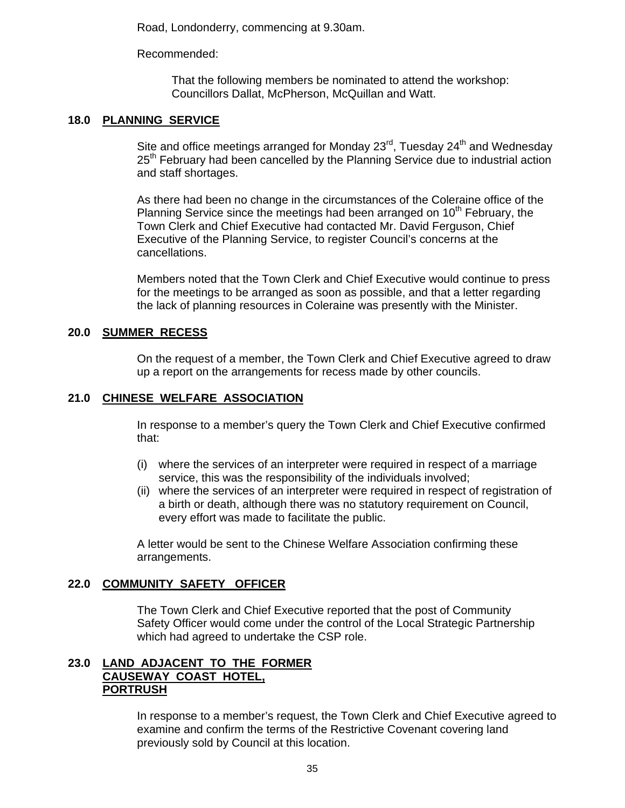Road, Londonderry, commencing at 9.30am.

Recommended:

 That the following members be nominated to attend the workshop: Councillors Dallat, McPherson, McQuillan and Watt.

## **18.0 PLANNING SERVICE**

Site and office meetings arranged for Monday 23<sup>rd</sup>, Tuesday 24<sup>th</sup> and Wednesday 25<sup>th</sup> February had been cancelled by the Planning Service due to industrial action and staff shortages.

As there had been no change in the circumstances of the Coleraine office of the Planning Service since the meetings had been arranged on  $10<sup>th</sup>$  February, the Town Clerk and Chief Executive had contacted Mr. David Ferguson, Chief Executive of the Planning Service, to register Council's concerns at the cancellations.

Members noted that the Town Clerk and Chief Executive would continue to press for the meetings to be arranged as soon as possible, and that a letter regarding the lack of planning resources in Coleraine was presently with the Minister.

## **20.0 SUMMER RECESS**

On the request of a member, the Town Clerk and Chief Executive agreed to draw up a report on the arrangements for recess made by other councils.

## **21.0 CHINESE WELFARE ASSOCIATION**

In response to a member's query the Town Clerk and Chief Executive confirmed that:

- (i) where the services of an interpreter were required in respect of a marriage service, this was the responsibility of the individuals involved;
- (ii) where the services of an interpreter were required in respect of registration of a birth or death, although there was no statutory requirement on Council, every effort was made to facilitate the public.

A letter would be sent to the Chinese Welfare Association confirming these arrangements.

## **22.0 COMMUNITY SAFETY OFFICER**

 The Town Clerk and Chief Executive reported that the post of Community Safety Officer would come under the control of the Local Strategic Partnership which had agreed to undertake the CSP role.

#### **23.0 LAND ADJACENT TO THE FORMER CAUSEWAY COAST HOTEL, PORTRUSH**

 In response to a member's request, the Town Clerk and Chief Executive agreed to examine and confirm the terms of the Restrictive Covenant covering land previously sold by Council at this location.